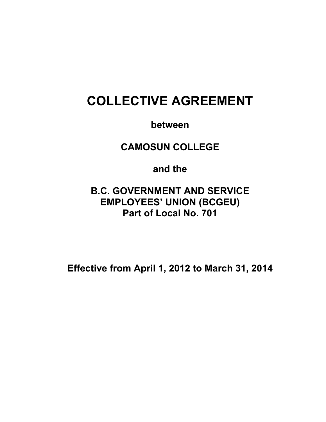# **COLLECTIVE AGREEMENT**

**between** 

**CAMOSUN COLLEGE** 

**and the** 

**B.C. GOVERNMENT AND SERVICE EMPLOYEES' UNION (BCGEU) Part of Local No. 701** 

**Effective from April 1, 2012 to March 31, 2014**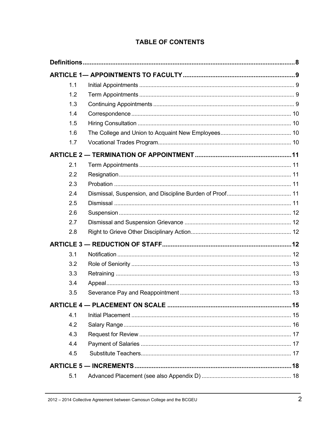| 1.1 |  |
|-----|--|
| 1.2 |  |
| 1.3 |  |
| 1.4 |  |
| 1.5 |  |
| 1.6 |  |
| 1.7 |  |
|     |  |
| 2.1 |  |
| 2.2 |  |
| 2.3 |  |
| 2.4 |  |
| 2.5 |  |
| 2.6 |  |
| 2.7 |  |
| 2.8 |  |
|     |  |
| 3.1 |  |
| 3.2 |  |
| 3.3 |  |
| 3.4 |  |
| 3.5 |  |
|     |  |
| 4.1 |  |
| 4.2 |  |
| 4.3 |  |
| 4.4 |  |
| 4.5 |  |
|     |  |
| 5.1 |  |

# **TABLE OF CONTENTS**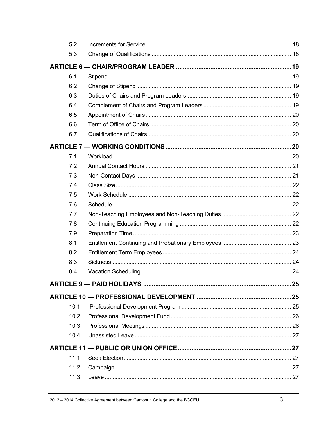| 5.2  |     |
|------|-----|
| 5.3  |     |
|      |     |
| 6.1  |     |
| 6.2  |     |
| 6.3  |     |
| 6.4  |     |
| 6.5  |     |
| 6.6  |     |
| 6.7  |     |
|      |     |
| 7.1  |     |
| 7.2  |     |
| 7.3  |     |
| 7.4  |     |
| 7.5  |     |
| 7.6  |     |
| 7.7  |     |
| 7.8  |     |
| 7.9  |     |
| 8.1  |     |
| 8.2  |     |
| 8.3  |     |
| 8.4  |     |
|      | .25 |
|      |     |
| 10.1 |     |
| 10.2 |     |
| 10.3 |     |
| 10.4 |     |
|      |     |
| 11.1 |     |
| 11.2 |     |
| 11.3 |     |
|      |     |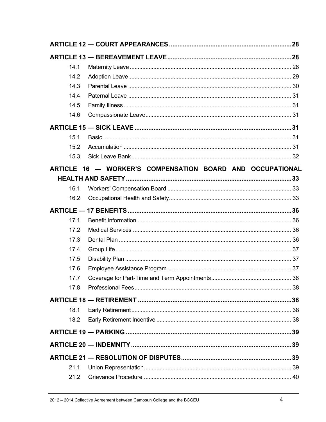| 14.1 |                                                           |  |
|------|-----------------------------------------------------------|--|
| 14.2 |                                                           |  |
| 14.3 |                                                           |  |
| 14.4 |                                                           |  |
| 14.5 |                                                           |  |
| 14.6 |                                                           |  |
|      |                                                           |  |
| 15.1 |                                                           |  |
| 15.2 |                                                           |  |
| 15.3 |                                                           |  |
|      | ARTICLE 16 - WORKER'S COMPENSATION BOARD AND OCCUPATIONAL |  |
|      |                                                           |  |
| 16.1 |                                                           |  |
| 16.2 |                                                           |  |
|      |                                                           |  |
| 17.1 |                                                           |  |
| 17.2 |                                                           |  |
| 17.3 |                                                           |  |
| 17.4 |                                                           |  |
| 17.5 |                                                           |  |
| 17.6 |                                                           |  |
| 17.7 |                                                           |  |
| 17.8 |                                                           |  |
|      |                                                           |  |
| 18.1 |                                                           |  |
| 18.2 |                                                           |  |
|      |                                                           |  |
|      |                                                           |  |
|      |                                                           |  |
| 21.1 |                                                           |  |
| 21.2 |                                                           |  |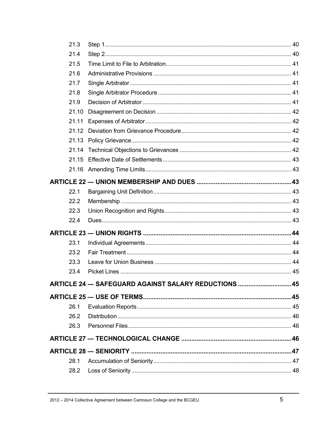| 21.3  |                                                     |  |
|-------|-----------------------------------------------------|--|
| 21.4  |                                                     |  |
| 21.5  |                                                     |  |
| 21.6  |                                                     |  |
| 21.7  |                                                     |  |
| 21.8  |                                                     |  |
| 21.9  |                                                     |  |
| 21.10 |                                                     |  |
| 21.11 |                                                     |  |
|       |                                                     |  |
|       |                                                     |  |
|       |                                                     |  |
|       |                                                     |  |
|       |                                                     |  |
|       |                                                     |  |
| 22.1  |                                                     |  |
| 22.2  |                                                     |  |
| 22.3  |                                                     |  |
| 22.4  |                                                     |  |
|       |                                                     |  |
| 23.1  |                                                     |  |
| 23.2  |                                                     |  |
| 23.3  |                                                     |  |
| 23.4  |                                                     |  |
|       | ARTICLE 24 - SAFEGUARD AGAINST SALARY REDUCTIONS 45 |  |
|       |                                                     |  |
| 26.1  |                                                     |  |
| 26.2  |                                                     |  |
| 26.3  |                                                     |  |
|       |                                                     |  |
|       |                                                     |  |
| 28.1  |                                                     |  |
| 28.2  |                                                     |  |
|       |                                                     |  |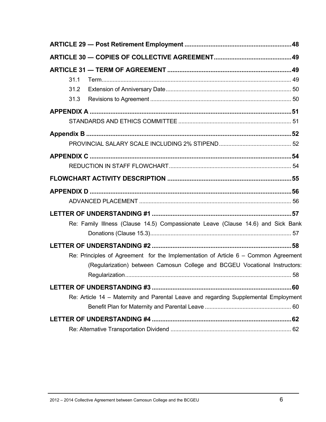| 31.1                                                                                 |     |
|--------------------------------------------------------------------------------------|-----|
| 31.2                                                                                 |     |
| 31.3                                                                                 |     |
|                                                                                      |     |
|                                                                                      |     |
|                                                                                      |     |
|                                                                                      |     |
|                                                                                      |     |
|                                                                                      |     |
|                                                                                      |     |
|                                                                                      |     |
|                                                                                      |     |
|                                                                                      |     |
|                                                                                      |     |
| Re: Family Illness (Clause 14.5) Compassionate Leave (Clause 14.6) and Sick Bank     |     |
|                                                                                      |     |
|                                                                                      |     |
| Re: Principles of Agreement for the Implementation of Article $6 -$ Common Agreement |     |
| (Regularization) between Camosun College and BCGEU Vocational Instructors:           |     |
|                                                                                      | .60 |
|                                                                                      |     |
| Re: Article 14 - Maternity and Parental Leave and regarding Supplemental Employment  |     |
|                                                                                      |     |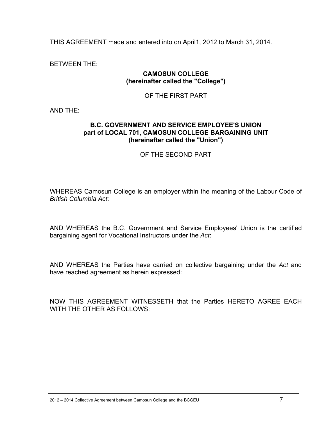THIS AGREEMENT made and entered into on April1, 2012 to March 31, 2014.

BETWEEN THE:

#### **CAMOSUN COLLEGE (hereinafter called the "College")**

#### OF THE FIRST PART

AND THE:

#### **B.C. GOVERNMENT AND SERVICE EMPLOYEE'S UNION part of LOCAL 701, CAMOSUN COLLEGE BARGAINING UNIT (hereinafter called the "Union")**

#### OF THE SECOND PART

WHEREAS Camosun College is an employer within the meaning of the Labour Code of *British Columbia Act*:

AND WHEREAS the B.C. Government and Service Employees' Union is the certified bargaining agent for Vocational Instructors under the *Act*:

AND WHEREAS the Parties have carried on collective bargaining under the *Act* and have reached agreement as herein expressed:

NOW THIS AGREEMENT WITNESSETH that the Parties HERETO AGREE EACH WITH THE OTHER AS FOLLOWS: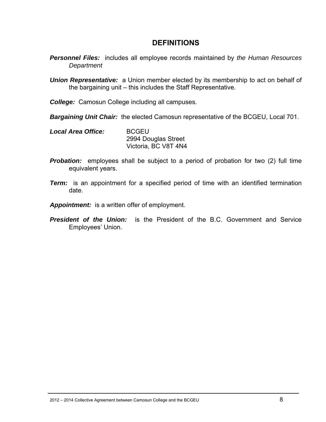# **DEFINITIONS**

- *Personnel Files:* includes all employee records maintained by *the Human Resources Department*
- *Union Representative:* a Union member elected by its membership to act on behalf of the bargaining unit – this includes the Staff Representative.
- *College:* Camosun College including all campuses.
- *Bargaining Unit Chair:* the elected Camosun representative of the BCGEU, Local 701.
- *Local Area Office:* BCGEU 2994 Douglas Street Victoria, BC V8T 4N4
- **Probation:** employees shall be subject to a period of probation for two (2) full time equivalent years.
- *Term:* is an appointment for a specified period of time with an identified termination date.
- *Appointment:* is a written offer of employment.
- *President of the Union:* is the President of the B.C. Government and Service Employees' Union.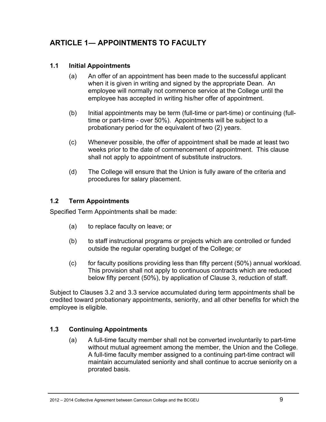# **ARTICLE 1― APPOINTMENTS TO FACULTY**

### **1.1 Initial Appointments**

- (a) An offer of an appointment has been made to the successful applicant when it is given in writing and signed by the appropriate Dean. An employee will normally not commence service at the College until the employee has accepted in writing his/her offer of appointment.
- (b) Initial appointments may be term (full-time or part-time) or continuing (fulltime or part-time - over 50%). Appointments will be subject to a probationary period for the equivalent of two (2) years.
- (c) Whenever possible, the offer of appointment shall be made at least two weeks prior to the date of commencement of appointment. This clause shall not apply to appointment of substitute instructors.
- (d) The College will ensure that the Union is fully aware of the criteria and procedures for salary placement.

### **1.2 Term Appointments**

Specified Term Appointments shall be made:

- (a) to replace faculty on leave; or
- (b) to staff instructional programs or projects which are controlled or funded outside the regular operating budget of the College; or
- (c) for faculty positions providing less than fifty percent (50%) annual workload. This provision shall not apply to continuous contracts which are reduced below fifty percent (50%), by application of Clause 3, reduction of staff.

Subject to Clauses 3.2 and 3.3 service accumulated during term appointments shall be credited toward probationary appointments, seniority, and all other benefits for which the employee is eligible.

### **1.3 Continuing Appointments**

(a) A full-time faculty member shall not be converted involuntarily to part-time without mutual agreement among the member, the Union and the College. A full-time faculty member assigned to a continuing part-time contract will maintain accumulated seniority and shall continue to accrue seniority on a prorated basis.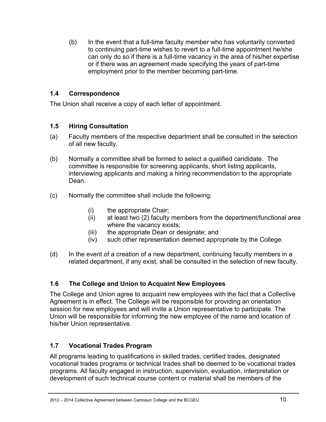(b) In the event that a full-time faculty member who has voluntarily converted to continuing part-time wishes to revert to a full-time appointment he/she can only do so if there is a full-time vacancy in the area of his/her expertise or if there was an agreement made specifying the years of part-time employment prior to the member becoming part-time.

### **1.4 Correspondence**

The Union shall receive a copy of each letter of appointment.

### **1.5 Hiring Consultation**

- (a) Faculty members of the respective department shall be consulted in the selection of all new faculty.
- (b) Normally a committee shall be formed to select a qualified candidate. The committee is responsible for screening applicants, short listing applicants, interviewing applicants and making a hiring recommendation to the appropriate Dean.
- (c) Normally the committee shall include the following:
	- (i) the appropriate Chair;
	- (ii) at least two (2) faculty members from the department/functional area where the vacancy exists;
	- (iii) the appropriate Dean or designate; and
	- (iv) such other representation deemed appropriate by the College.
- (d) In the event of a creation of a new department, continuing faculty members in a related department, if any exist, shall be consulted in the selection of new faculty.

# **1.6 The College and Union to Acquaint New Employees**

The College and Union agree to acquaint new employees with the fact that a Collective Agreement is in effect. The College will be responsible for providing an orientation session for new employees and will invite a Union representative to participate. The Union will be responsible for informing the new employee of the name and location of his/her Union representative.

# **1.7 Vocational Trades Program**

All programs leading to qualifications in skilled trades, certified trades, designated vocational trades programs or technical trades shall be deemed to be vocational trades programs. All faculty engaged in instruction, supervision, evaluation, interpretation or development of such technical course content or material shall be members of the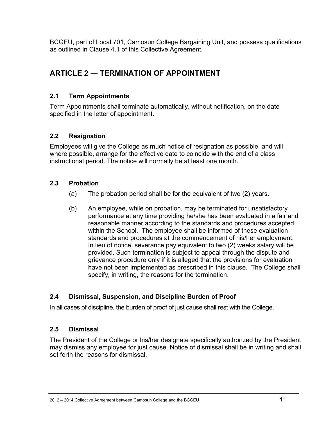BCGEU, part of Local 701, Camosun College Bargaining Unit, and possess qualifications as outlined in Clause 4.1 of this Collective Agreement.

# **ARTICLE 2 ― TERMINATION OF APPOINTMENT**

# **2.1 Term Appointments**

Term Appointments shall terminate automatically, without notification, on the date specified in the letter of appointment.

# **2.2 Resignation**

Employees will give the College as much notice of resignation as possible, and will where possible, arrange for the effective date to coincide with the end of a class instructional period. The notice will normally be at least one month.

# **2.3 Probation**

- (a) The probation period shall be for the equivalent of two (2) years.
- (b) An employee, while on probation, may be terminated for unsatisfactory performance at any time providing he/she has been evaluated in a fair and reasonable manner according to the standards and procedures accepted within the School. The employee shall be informed of these evaluation standards and procedures at the commencement of his/her employment. In lieu of notice, severance pay equivalent to two (2) weeks salary will be provided. Such termination is subject to appeal through the dispute and grievance procedure only if it is alleged that the provisions for evaluation have not been implemented as prescribed in this clause. The College shall specify, in writing, the reasons for the termination.

# **2.4 Dismissal, Suspension, and Discipline Burden of Proof**

In all cases of discipline, the burden of proof of just cause shall rest with the College.

# **2.5 Dismissal**

The President of the College or his/her designate specifically authorized by the President may dismiss any employee for just cause. Notice of dismissal shall be in writing and shall set forth the reasons for dismissal.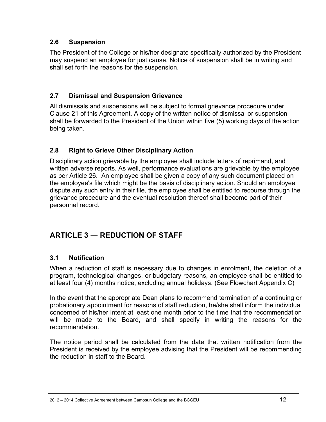### **2.6 Suspension**

The President of the College or his/her designate specifically authorized by the President may suspend an employee for just cause. Notice of suspension shall be in writing and shall set forth the reasons for the suspension.

### **2.7 Dismissal and Suspension Grievance**

All dismissals and suspensions will be subject to formal grievance procedure under Clause 21 of this Agreement. A copy of the written notice of dismissal or suspension shall be forwarded to the President of the Union within five (5) working days of the action being taken.

# **2.8 Right to Grieve Other Disciplinary Action**

Disciplinary action grievable by the employee shall include letters of reprimand, and written adverse reports. As well, performance evaluations are grievable by the employee as per Article 26. An employee shall be given a copy of any such document placed on the employee's file which might be the basis of disciplinary action. Should an employee dispute any such entry in their file, the employee shall be entitled to recourse through the grievance procedure and the eventual resolution thereof shall become part of their personnel record.

# **ARTICLE 3 ― REDUCTION OF STAFF**

# **3.1 Notification**

When a reduction of staff is necessary due to changes in enrolment, the deletion of a program, technological changes, or budgetary reasons, an employee shall be entitled to at least four (4) months notice, excluding annual holidays. (See Flowchart Appendix C)

In the event that the appropriate Dean plans to recommend termination of a continuing or probationary appointment for reasons of staff reduction, he/she shall inform the individual concerned of his/her intent at least one month prior to the time that the recommendation will be made to the Board, and shall specify in writing the reasons for the recommendation.

The notice period shall be calculated from the date that written notification from the President is received by the employee advising that the President will be recommending the reduction in staff to the Board.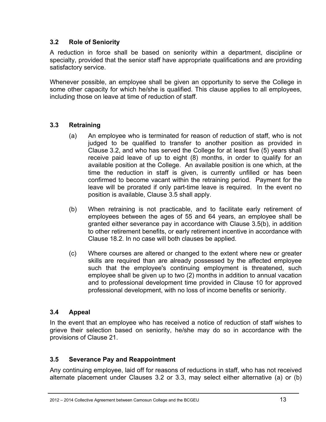### **3.2 Role of Seniority**

A reduction in force shall be based on seniority within a department, discipline or specialty, provided that the senior staff have appropriate qualifications and are providing satisfactory service.

Whenever possible, an employee shall be given an opportunity to serve the College in some other capacity for which he/she is qualified. This clause applies to all employees, including those on leave at time of reduction of staff.

### **3.3 Retraining**

- (a) An employee who is terminated for reason of reduction of staff, who is not judged to be qualified to transfer to another position as provided in Clause 3.2, and who has served the College for at least five (5) years shall receive paid leave of up to eight (8) months, in order to qualify for an available position at the College. An available position is one which, at the time the reduction in staff is given, is currently unfilled or has been confirmed to become vacant within the retraining period. Payment for the leave will be prorated if only part-time leave is required. In the event no position is available, Clause 3.5 shall apply.
- (b) When retraining is not practicable, and to facilitate early retirement of employees between the ages of 55 and 64 years, an employee shall be granted either severance pay in accordance with Clause 3.5(b), in addition to other retirement benefits, or early retirement incentive in accordance with Clause 18.2. In no case will both clauses be applied.
- (c) Where courses are altered or changed to the extent where new or greater skills are required than are already possessed by the affected employee such that the employee's continuing employment is threatened, such employee shall be given up to two (2) months in addition to annual vacation and to professional development time provided in Clause 10 for approved professional development, with no loss of income benefits or seniority.

### **3.4 Appeal**

In the event that an employee who has received a notice of reduction of staff wishes to grieve their selection based on seniority, he/she may do so in accordance with the provisions of Clause 21.

### **3.5 Severance Pay and Reappointment**

Any continuing employee, laid off for reasons of reductions in staff, who has not received alternate placement under Clauses 3.2 or 3.3, may select either alternative (a) or (b)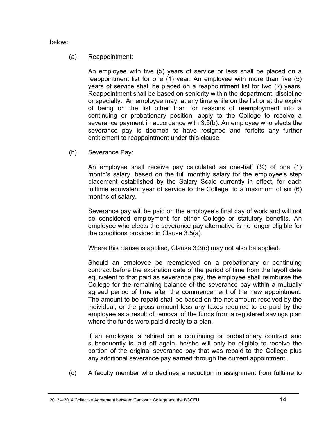below:

#### (a) Reappointment:

An employee with five (5) years of service or less shall be placed on a reappointment list for one (1) year. An employee with more than five (5) years of service shall be placed on a reappointment list for two (2) years. Reappointment shall be based on seniority within the department, discipline or specialty. An employee may, at any time while on the list or at the expiry of being on the list other than for reasons of reemployment into a continuing or probationary position, apply to the College to receive a severance payment in accordance with 3.5(b). An employee who elects the severance pay is deemed to have resigned and forfeits any further entitlement to reappointment under this clause.

(b) Severance Pay:

An employee shall receive pay calculated as one-half  $(\frac{1}{2})$  of one (1) month's salary, based on the full monthly salary for the employee's step placement established by the Salary Scale currently in effect, for each fulltime equivalent year of service to the College, to a maximum of six (6) months of salary.

Severance pay will be paid on the employee's final day of work and will not be considered employment for either College or statutory benefits. An employee who elects the severance pay alternative is no longer eligible for the conditions provided in Clause 3.5(a).

Where this clause is applied, Clause 3.3(c) may not also be applied.

Should an employee be reemployed on a probationary or continuing contract before the expiration date of the period of time from the layoff date equivalent to that paid as severance pay, the employee shall reimburse the College for the remaining balance of the severance pay within a mutually agreed period of time after the commencement of the new appointment. The amount to be repaid shall be based on the net amount received by the individual, or the gross amount less any taxes required to be paid by the employee as a result of removal of the funds from a registered savings plan where the funds were paid directly to a plan.

If an employee is rehired on a continuing or probationary contract and subsequently is laid off again, he/she will only be eligible to receive the portion of the original severance pay that was repaid to the College plus any additional severance pay earned through the current appointment.

(c) A faculty member who declines a reduction in assignment from fulltime to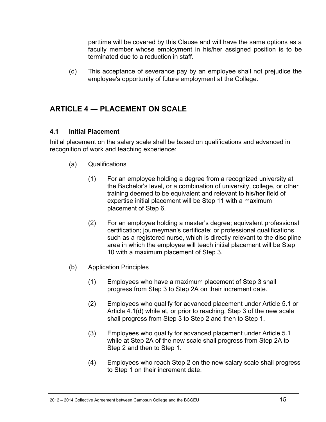parttime will be covered by this Clause and will have the same options as a faculty member whose employment in his/her assigned position is to be terminated due to a reduction in staff.

(d) This acceptance of severance pay by an employee shall not prejudice the employee's opportunity of future employment at the College.

# **ARTICLE 4 ― PLACEMENT ON SCALE**

### **4.1 Initial Placement**

Initial placement on the salary scale shall be based on qualifications and advanced in recognition of work and teaching experience:

- (a) Qualifications
	- (1) For an employee holding a degree from a recognized university at the Bachelor's level, or a combination of university, college, or other training deemed to be equivalent and relevant to his/her field of expertise initial placement will be Step 11 with a maximum placement of Step 6.
	- (2) For an employee holding a master's degree; equivalent professional certification; journeyman's certificate; or professional qualifications such as a registered nurse, which is directly relevant to the discipline area in which the employee will teach initial placement will be Step 10 with a maximum placement of Step 3.
- (b) Application Principles
	- (1) Employees who have a maximum placement of Step 3 shall progress from Step 3 to Step 2A on their increment date.
	- (2) Employees who qualify for advanced placement under Article 5.1 or Article 4.1(d) while at, or prior to reaching, Step 3 of the new scale shall progress from Step 3 to Step 2 and then to Step 1.
	- (3) Employees who qualify for advanced placement under Article 5.1 while at Step 2A of the new scale shall progress from Step 2A to Step 2 and then to Step 1.
	- (4) Employees who reach Step 2 on the new salary scale shall progress to Step 1 on their increment date.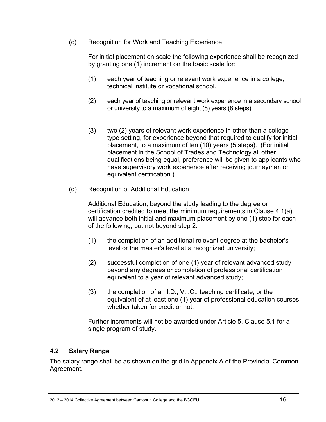(c) Recognition for Work and Teaching Experience

For initial placement on scale the following experience shall be recognized by granting one (1) increment on the basic scale for:

- (1) each year of teaching or relevant work experience in a college, technical institute or vocational school.
- (2) each year of teaching or relevant work experience in a secondary school or university to a maximum of eight (8) years (8 steps).
- (3) two (2) years of relevant work experience in other than a collegetype setting, for experience beyond that required to qualify for initial placement, to a maximum of ten (10) years (5 steps). (For initial placement in the School of Trades and Technology all other qualifications being equal, preference will be given to applicants who have supervisory work experience after receiving journeyman or equivalent certification.)
- (d) Recognition of Additional Education

Additional Education, beyond the study leading to the degree or certification credited to meet the minimum requirements in Clause 4.1(a), will advance both initial and maximum placement by one (1) step for each of the following, but not beyond step 2:

- (1) the completion of an additional relevant degree at the bachelor's level or the master's level at a recognized university;
- (2) successful completion of one (1) year of relevant advanced study beyond any degrees or completion of professional certification equivalent to a year of relevant advanced study;
- (3) the completion of an I.D., V.I.C., teaching certificate, or the equivalent of at least one (1) year of professional education courses whether taken for credit or not.

Further increments will not be awarded under Article 5, Clause 5.1 for a single program of study.

### **4.2 Salary Range**

The salary range shall be as shown on the grid in Appendix A of the Provincial Common Agreement.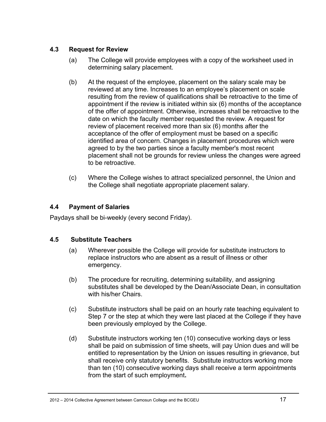### **4.3 Request for Review**

- (a) The College will provide employees with a copy of the worksheet used in determining salary placement.
- (b) At the request of the employee, placement on the salary scale may be reviewed at any time. Increases to an employee's placement on scale resulting from the review of qualifications shall be retroactive to the time of appointment if the review is initiated within six (6) months of the acceptance of the offer of appointment. Otherwise, increases shall be retroactive to the date on which the faculty member requested the review. A request for review of placement received more than six (6) months after the acceptance of the offer of employment must be based on a specific identified area of concern. Changes in placement procedures which were agreed to by the two parties since a faculty member's most recent placement shall not be grounds for review unless the changes were agreed to be retroactive.
- (c) Where the College wishes to attract specialized personnel, the Union and the College shall negotiate appropriate placement salary.

### **4.4 Payment of Salaries**

Paydays shall be bi-weekly (every second Friday).

# **4.5 Substitute Teachers**

- (a) Wherever possible the College will provide for substitute instructors to replace instructors who are absent as a result of illness or other emergency.
- (b) The procedure for recruiting, determining suitability, and assigning substitutes shall be developed by the Dean/Associate Dean, in consultation with his/her Chairs.
- (c) Substitute instructors shall be paid on an hourly rate teaching equivalent to Step 7 or the step at which they were last placed at the College if they have been previously employed by the College.
- (d) Substitute instructors working ten (10) consecutive working days or less shall be paid on submission of time sheets, will pay Union dues and will be entitled to representation by the Union on issues resulting in grievance, but shall receive only statutory benefits. Substitute instructors working more than ten (10) consecutive working days shall receive a term appointments from the start of such employment**.**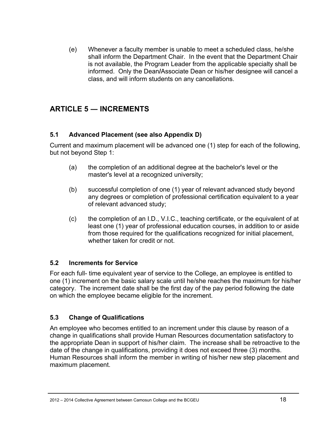(e) Whenever a faculty member is unable to meet a scheduled class, he/she shall inform the Department Chair. In the event that the Department Chair is not available, the Program Leader from the applicable specialty shall be informed.Only the Dean**/**Associate Dean or his/her designee will cancel a class, and will inform students on any cancellations.

# **ARTICLE 5 ― INCREMENTS**

### **5.1 Advanced Placement (see also Appendix D)**

Current and maximum placement will be advanced one (1) step for each of the following, but not beyond Step 1:

- (a) the completion of an additional degree at the bachelor's level or the master's level at a recognized university;
- (b) successful completion of one (1) year of relevant advanced study beyond any degrees or completion of professional certification equivalent to a year of relevant advanced study;
- (c) the completion of an I.D., V.I.C., teaching certificate, or the equivalent of at least one (1) year of professional education courses, in addition to or aside from those required for the qualifications recognized for initial placement, whether taken for credit or not.

### **5.2 Increments for Service**

For each full- time equivalent year of service to the College, an employee is entitled to one (1) increment on the basic salary scale until he/she reaches the maximum for his/her category. The increment date shall be the first day of the pay period following the date on which the employee became eligible for the increment.

# **5.3 Change of Qualifications**

An employee who becomes entitled to an increment under this clause by reason of a change in qualifications shall provide Human Resources documentation satisfactory to the appropriate Dean in support of his/her claim. The increase shall be retroactive to the date of the change in qualifications, providing it does not exceed three (3) months. Human Resources shall inform the member in writing of his/her new step placement and maximum placement.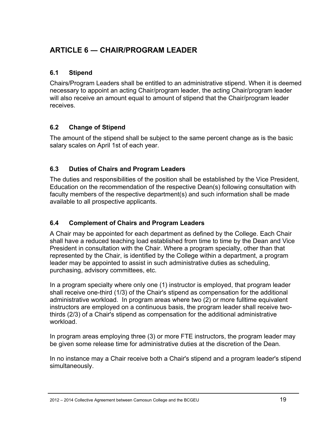# **ARTICLE 6 ― CHAIR/PROGRAM LEADER**

### **6.1 Stipend**

Chairs/Program Leaders shall be entitled to an administrative stipend. When it is deemed necessary to appoint an acting Chair/program leader, the acting Chair/program leader will also receive an amount equal to amount of stipend that the Chair/program leader receives.

# **6.2 Change of Stipend**

The amount of the stipend shall be subject to the same percent change as is the basic salary scales on April 1st of each year.

# **6.3 Duties of Chairs and Program Leaders**

The duties and responsibilities of the position shall be established by the Vice President, Education on the recommendation of the respective Dean(s) following consultation with faculty members of the respective department(s) and such information shall be made available to all prospective applicants.

# **6.4 Complement of Chairs and Program Leaders**

A Chair may be appointed for each department as defined by the College. Each Chair shall have a reduced teaching load established from time to time by the Dean and Vice President in consultation with the Chair. Where a program specialty, other than that represented by the Chair, is identified by the College within a department, a program leader may be appointed to assist in such administrative duties as scheduling, purchasing, advisory committees, etc.

In a program specialty where only one (1) instructor is employed, that program leader shall receive one-third (1/3) of the Chair's stipend as compensation for the additional administrative workload. In program areas where two (2) or more fulltime equivalent instructors are employed on a continuous basis, the program leader shall receive twothirds (2/3) of a Chair's stipend as compensation for the additional administrative workload.

In program areas employing three (3) or more FTE instructors, the program leader may be given some release time for administrative duties at the discretion of the Dean.

In no instance may a Chair receive both a Chair's stipend and a program leader's stipend simultaneously.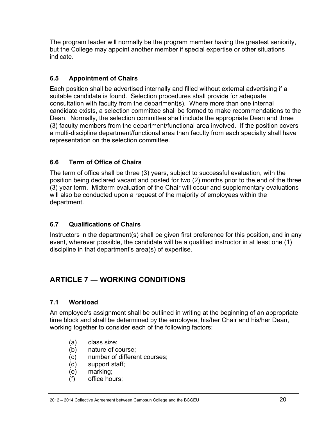The program leader will normally be the program member having the greatest seniority, but the College may appoint another member if special expertise or other situations indicate.

# **6.5 Appointment of Chairs**

Each position shall be advertised internally and filled without external advertising if a suitable candidate is found. Selection procedures shall provide for adequate consultation with faculty from the department(s). Where more than one internal candidate exists, a selection committee shall be formed to make recommendations to the Dean. Normally, the selection committee shall include the appropriate Dean and three (3) faculty members from the department/functional area involved. If the position covers a multi-discipline department/functional area then faculty from each specialty shall have representation on the selection committee.

# **6.6 Term of Office of Chairs**

The term of office shall be three (3) years, subject to successful evaluation, with the position being declared vacant and posted for two (2) months prior to the end of the three (3) year term. Midterm evaluation of the Chair will occur and supplementary evaluations will also be conducted upon a request of the majority of employees within the department.

# **6.7 Qualifications of Chairs**

Instructors in the department(s) shall be given first preference for this position, and in any event, wherever possible, the candidate will be a qualified instructor in at least one (1) discipline in that department's area(s) of expertise.

# **ARTICLE 7 ― WORKING CONDITIONS**

# **7.1 Workload**

An employee's assignment shall be outlined in writing at the beginning of an appropriate time block and shall be determined by the employee, his/her Chair and his/her Dean, working together to consider each of the following factors:

- (a) class size;
- (b) nature of course;
- (c) number of different courses;
- (d) support staff;
- (e) marking;
- (f) office hours;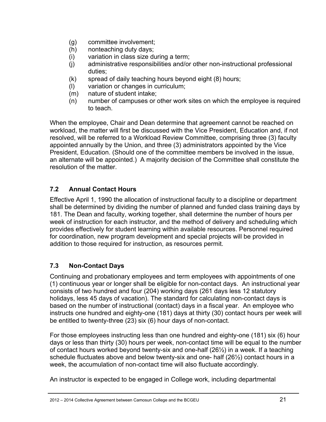- (g) committee involvement;
- (h) nonteaching duty days;
- (i) variation in class size during a term;
- (j) administrative responsibilities and/or other non-instructional professional duties;
- (k) spread of daily teaching hours beyond eight (8) hours;
- (l) variation or changes in curriculum;
- (m) nature of student intake;
- (n) number of campuses or other work sites on which the employee is required to teach.

When the employee, Chair and Dean determine that agreement cannot be reached on workload, the matter will first be discussed with the Vice President, Education and, if not resolved, will be referred to a Workload Review Committee, comprising three (3) faculty appointed annually by the Union, and three (3) administrators appointed by the Vice President, Education. (Should one of the committee members be involved in the issue, an alternate will be appointed.) A majority decision of the Committee shall constitute the resolution of the matter.

# **7.2 Annual Contact Hours**

Effective April 1, 1990 the allocation of instructional faculty to a discipline or department shall be determined by dividing the number of planned and funded class training days by 181. The Dean and faculty, working together, shall determine the number of hours per week of instruction for each instructor, and the method of delivery and scheduling which provides effectively for student learning within available resources. Personnel required for coordination, new program development and special projects will be provided in addition to those required for instruction, as resources permit.

# **7.3 Non-Contact Days**

Continuing and probationary employees and term employees with appointments of one (1) continuous year or longer shall be eligible for non-contact days. An instructional year consists of two hundred and four (204) working days (261 days less 12 statutory holidays, less 45 days of vacation). The standard for calculating non-contact days is based on the number of instructional (contact) days in a fiscal year. An employee who instructs one hundred and eighty-one (181) days at thirty (30) contact hours per week will be entitled to twenty-three (23) six (6) hour days of non-contact.

For those employees instructing less than one hundred and eighty-one (181) six (6) hour days or less than thirty (30) hours per week, non-contact time will be equal to the number of contact hours worked beyond twenty-six and one-half (26½) in a week. If a teaching schedule fluctuates above and below twenty-six and one- half (26½) contact hours in a week, the accumulation of non-contact time will also fluctuate accordingly.

An instructor is expected to be engaged in College work, including departmental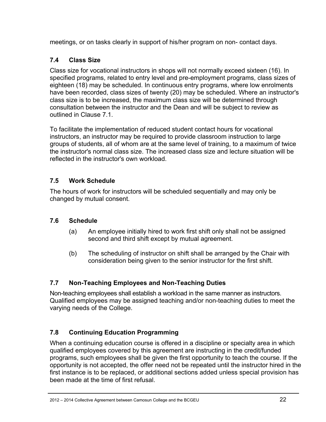meetings, or on tasks clearly in support of his/her program on non- contact days.

# **7.4 Class Size**

Class size for vocational instructors in shops will not normally exceed sixteen (16). In specified programs, related to entry level and pre-employment programs, class sizes of eighteen (18) may be scheduled. In continuous entry programs, where low enrolments have been recorded, class sizes of twenty (20) may be scheduled. Where an instructor's class size is to be increased, the maximum class size will be determined through consultation between the instructor and the Dean and will be subject to review as outlined in Clause 7.1.

To facilitate the implementation of reduced student contact hours for vocational instructors, an instructor may be required to provide classroom instruction to large groups of students, all of whom are at the same level of training, to a maximum of twice the instructor's normal class size. The increased class size and lecture situation will be reflected in the instructor's own workload.

# **7.5 Work Schedule**

The hours of work for instructors will be scheduled sequentially and may only be changed by mutual consent.

# **7.6 Schedule**

- (a) An employee initially hired to work first shift only shall not be assigned second and third shift except by mutual agreement.
- (b) The scheduling of instructor on shift shall be arranged by the Chair with consideration being given to the senior instructor for the first shift.

# **7.7 Non-Teaching Employees and Non-Teaching Duties**

Non-teaching employees shall establish a workload in the same manner as instructors. Qualified employees may be assigned teaching and/or non-teaching duties to meet the varying needs of the College.

# **7.8 Continuing Education Programming**

When a continuing education course is offered in a discipline or specialty area in which qualified employees covered by this agreement are instructing in the credit/funded programs, such employees shall be given the first opportunity to teach the course. If the opportunity is not accepted, the offer need not be repeated until the instructor hired in the first instance is to be replaced, or additional sections added unless special provision has been made at the time of first refusal.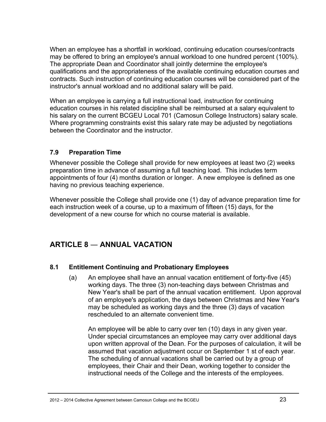When an employee has a shortfall in workload, continuing education courses/contracts may be offered to bring an employee's annual workload to one hundred percent (100%). The appropriate Dean and Coordinator shall jointly determine the employee's qualifications and the appropriateness of the available continuing education courses and contracts. Such instruction of continuing education courses will be considered part of the instructor's annual workload and no additional salary will be paid.

When an employee is carrying a full instructional load, instruction for continuing education courses in his related discipline shall be reimbursed at a salary equivalent to his salary on the current BCGEU Local 701 (Camosun College Instructors) salary scale. Where programming constraints exist this salary rate may be adjusted by negotiations between the Coordinator and the instructor.

### **7.9 Preparation Time**

Whenever possible the College shall provide for new employees at least two (2) weeks preparation time in advance of assuming a full teaching load. This includes term appointments of four (4) months duration or longer. A new employee is defined as one having no previous teaching experience.

Whenever possible the College shall provide one (1) day of advance preparation time for each instruction week of a course, up to a maximum of fifteen (15) days, for the development of a new course for which no course material is available.

# **ARTICLE 8** ― **ANNUAL VACATION**

### **8.1 Entitlement Continuing and Probationary Employees**

(a) An employee shall have an annual vacation entitlement of forty-five (45) working days. The three (3) non-teaching days between Christmas and New Year's shall be part of the annual vacation entitlement. Upon approval of an employee's application, the days between Christmas and New Year's may be scheduled as working days and the three (3) days of vacation rescheduled to an alternate convenient time.

 An employee will be able to carry over ten (10) days in any given year. Under special circumstances an employee may carry over additional days upon written approval of the Dean. For the purposes of calculation, it will be assumed that vacation adjustment occur on September 1 st of each year. The scheduling of annual vacations shall be carried out by a group of employees, their Chair and their Dean, working together to consider the instructional needs of the College and the interests of the employees.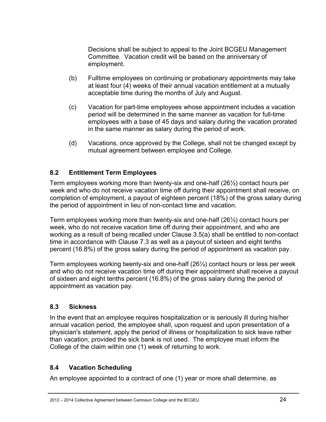Decisions shall be subject to appeal to the Joint BCGEU Management Committee. Vacation credit will be based on the anniversary of employment.

- (b) Fulltime employees on continuing or probationary appointments may take at least four (4) weeks of their annual vacation entitlement at a mutually acceptable time during the months of July and August.
- (c) Vacation for part-time employees whose appointment includes a vacation period will be determined in the same manner as vacation for full-time employees with a base of 45 days and salary during the vacation prorated in the same manner as salary during the period of work.
- (d) Vacations, once approved by the College, shall not be changed except by mutual agreement between employee and College.

# **8.2 Entitlement Term Employees**

Term employees working more than twenty-six and one-half (26½) contact hours per week and who do not receive vacation time off during their appointment shall receive, on completion of employment, a payout of eighteen percent (18%) of the gross salary during the period of appointment in lieu of non-contact time and vacation.

Term employees working more than twenty-six and one-half (26½) contact hours per week, who do not receive vacation time off during their appointment, and who are working as a result of being recalled under Clause 3.5(a) shall be entitled to non-contact time in accordance with Clause 7.3 as well as a payout of sixteen and eight tenths percent (16.8%) of the gross salary during the period of appointment as vacation pay.

Term employees working twenty-six and one-half (26½) contact hours or less per week and who do not receive vacation time off during their appointment shall receive a payout of sixteen and eight tenths percent (16.8%) of the gross salary during the period of appointment as vacation pay.

# **8.3 Sickness**

In the event that an employee requires hospitalization or is seriously ill during his/her annual vacation period, the employee shall, upon request and upon presentation of a physician's statement, apply the period of illness or hospitalization to sick leave rather than vacation, provided the sick bank is not used. The employee must inform the College of the claim within one (1) week of returning to work.

# **8.4 Vacation Scheduling**

An employee appointed to a contract of one (1) year or more shall determine, as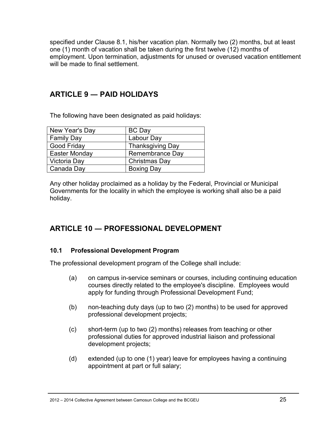specified under Clause 8.1, his/her vacation plan. Normally two (2) months, but at least one (1) month of vacation shall be taken during the first twelve (12) months of employment. Upon termination, adjustments for unused or overused vacation entitlement will be made to final settlement.

# **ARTICLE 9 ― PAID HOLIDAYS**

The following have been designated as paid holidays:

| New Year's Day    | <b>BC</b> Day           |
|-------------------|-------------------------|
| <b>Family Day</b> | Labour Day              |
| Good Friday       | <b>Thanksgiving Day</b> |
| Easter Monday     | <b>Remembrance Day</b>  |
| Victoria Day      | Christmas Day           |
| Canada Day        | <b>Boxing Day</b>       |

Any other holiday proclaimed as a holiday by the Federal, Provincial or Municipal Governments for the locality in which the employee is working shall also be a paid holiday.

# **ARTICLE 10 ― PROFESSIONAL DEVELOPMENT**

### **10.1 Professional Development Program**

The professional development program of the College shall include:

- (a) on campus in-service seminars or courses, including continuing education courses directly related to the employee's discipline. Employees would apply for funding through Professional Development Fund;
- (b) non-teaching duty days (up to two (2) months) to be used for approved professional development projects;
- (c) short-term (up to two (2) months) releases from teaching or other professional duties for approved industrial liaison and professional development projects;
- (d) extended (up to one (1) year) leave for employees having a continuing appointment at part or full salary;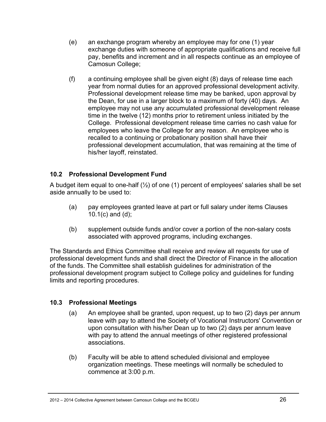- (e) an exchange program whereby an employee may for one (1) year exchange duties with someone of appropriate qualifications and receive full pay, benefits and increment and in all respects continue as an employee of Camosun College;
- (f) a continuing employee shall be given eight (8) days of release time each year from normal duties for an approved professional development activity. Professional development release time may be banked, upon approval by the Dean, for use in a larger block to a maximum of forty (40) days. An employee may not use any accumulated professional development release time in the twelve (12) months prior to retirement unless initiated by the College. Professional development release time carries no cash value for employees who leave the College for any reason. An employee who is recalled to a continuing or probationary position shall have their professional development accumulation, that was remaining at the time of his/her layoff, reinstated.

### **10.2 Professional Development Fund**

A budget item equal to one-half  $(\frac{1}{2})$  of one (1) percent of employees' salaries shall be set aside annually to be used to:

- (a) pay employees granted leave at part or full salary under items Clauses 10.1(c) and (d);
- (b) supplement outside funds and/or cover a portion of the non-salary costs associated with approved programs, including exchanges.

The Standards and Ethics Committee shall receive and review all requests for use of professional development funds and shall direct the Director of Finance in the allocation of the funds. The Committee shall establish guidelines for administration of the professional development program subject to College policy and guidelines for funding limits and reporting procedures.

### **10.3 Professional Meetings**

- (a) An employee shall be granted, upon request, up to two (2) days per annum leave with pay to attend the Society of Vocational Instructors' Convention or upon consultation with his/her Dean up to two (2) days per annum leave with pay to attend the annual meetings of other registered professional associations.
- (b) Faculty will be able to attend scheduled divisional and employee organization meetings. These meetings will normally be scheduled to commence at 3:00 p.m.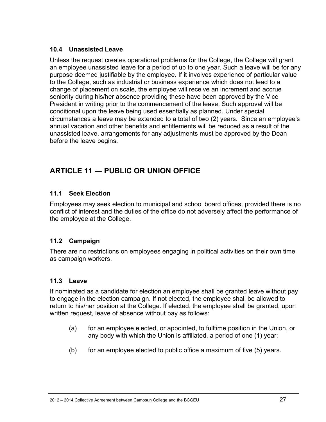### **10.4 Unassisted Leave**

Unless the request creates operational problems for the College, the College will grant an employee unassisted leave for a period of up to one year. Such a leave will be for any purpose deemed justifiable by the employee. If it involves experience of particular value to the College, such as industrial or business experience which does not lead to a change of placement on scale, the employee will receive an increment and accrue seniority during his/her absence providing these have been approved by the Vice President in writing prior to the commencement of the leave. Such approval will be conditional upon the leave being used essentially as planned. Under special circumstances a leave may be extended to a total of two (2) years. Since an employee's annual vacation and other benefits and entitlements will be reduced as a result of the unassisted leave, arrangements for any adjustments must be approved by the Dean before the leave begins.

# **ARTICLE 11 ― PUBLIC OR UNION OFFICE**

# **11.1 Seek Election**

Employees may seek election to municipal and school board offices, provided there is no conflict of interest and the duties of the office do not adversely affect the performance of the employee at the College.

# **11.2 Campaign**

There are no restrictions on employees engaging in political activities on their own time as campaign workers.

# **11.3 Leave**

If nominated as a candidate for election an employee shall be granted leave without pay to engage in the election campaign. If not elected, the employee shall be allowed to return to his/her position at the College. If elected, the employee shall be granted, upon written request, leave of absence without pay as follows:

- (a) for an employee elected, or appointed, to fulltime position in the Union, or any body with which the Union is affiliated, a period of one (1) year;
- (b) for an employee elected to public office a maximum of five  $(5)$  years.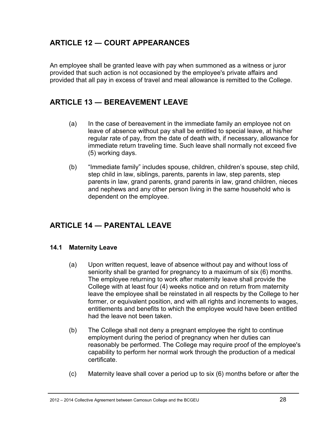# **ARTICLE 12 ― COURT APPEARANCES**

An employee shall be granted leave with pay when summoned as a witness or juror provided that such action is not occasioned by the employee's private affairs and provided that all pay in excess of travel and meal allowance is remitted to the College.

# **ARTICLE 13 ― BEREAVEMENT LEAVE**

- (a) In the case of bereavement in the immediate family an employee not on leave of absence without pay shall be entitled to special leave, at his/her regular rate of pay, from the date of death with, if necessary, allowance for immediate return traveling time. Such leave shall normally not exceed five (5) working days.
- (b) "Immediate family" includes spouse, children, children's spouse, step child, step child in law, siblings, parents, parents in law, step parents, step parents in law, grand parents, grand parents in law, grand children, nieces and nephews and any other person living in the same household who is dependent on the employee.

# **ARTICLE 14 ― PARENTAL LEAVE**

### **14.1 Maternity Leave**

- (a) Upon written request, leave of absence without pay and without loss of seniority shall be granted for pregnancy to a maximum of six (6) months. The employee returning to work after maternity leave shall provide the College with at least four (4) weeks notice and on return from maternity leave the employee shall be reinstated in all respects by the College to her former, or equivalent position, and with all rights and increments to wages, entitlements and benefits to which the employee would have been entitled had the leave not been taken.
- (b) The College shall not deny a pregnant employee the right to continue employment during the period of pregnancy when her duties can reasonably be performed. The College may require proof of the employee's capability to perform her normal work through the production of a medical certificate.
- (c) Maternity leave shall cover a period up to six (6) months before or after the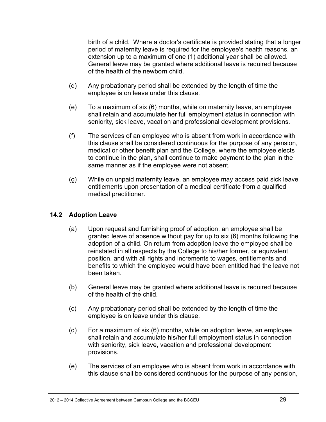birth of a child. Where a doctor's certificate is provided stating that a longer period of maternity leave is required for the employee's health reasons, an extension up to a maximum of one (1) additional year shall be allowed. General leave may be granted where additional leave is required because of the health of the newborn child.

- (d) Any probationary period shall be extended by the length of time the employee is on leave under this clause.
- (e) To a maximum of six (6) months, while on maternity leave, an employee shall retain and accumulate her full employment status in connection with seniority, sick leave, vacation and professional development provisions.
- (f) The services of an employee who is absent from work in accordance with this clause shall be considered continuous for the purpose of any pension, medical or other benefit plan and the College, where the employee elects to continue in the plan, shall continue to make payment to the plan in the same manner as if the employee were not absent.
- (g) While on unpaid maternity leave, an employee may access paid sick leave entitlements upon presentation of a medical certificate from a qualified medical practitioner.

### **14.2 Adoption Leave**

- (a) Upon request and furnishing proof of adoption, an employee shall be granted leave of absence without pay for up to six (6) months following the adoption of a child. On return from adoption leave the employee shall be reinstated in all respects by the College to his/her former, or equivalent position, and with all rights and increments to wages, entitlements and benefits to which the employee would have been entitled had the leave not been taken.
- (b) General leave may be granted where additional leave is required because of the health of the child.
- (c) Any probationary period shall be extended by the length of time the employee is on leave under this clause.
- (d) For a maximum of six (6) months, while on adoption leave, an employee shall retain and accumulate his/her full employment status in connection with seniority, sick leave, vacation and professional development provisions.
- (e) The services of an employee who is absent from work in accordance with this clause shall be considered continuous for the purpose of any pension,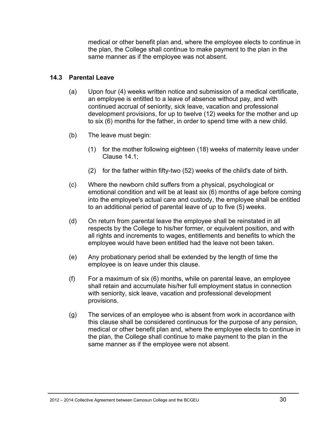medical or other benefit plan and, where the employee elects to continue in the plan, the College shall continue to make payment to the plan in the same manner as if the employee was not absent.

#### **14.3 Parental Leave**

- (a) Upon four (4) weeks written notice and submission of a medical certificate, an employee is entitled to a leave of absence without pay, and with continued accrual of seniority, sick leave, vacation and professional development provisions, for up to twelve (12) weeks for the mother and up to six (6) months for the father, in order to spend time with a new child.
- (b) The leave must begin:
	- (1) for the mother following eighteen (18) weeks of maternity leave under Clause 14.1;
	- (2) for the father within fifty-two (52) weeks of the child's date of birth.
- (c) Where the newborn child suffers from a physical, psychological or emotional condition and will be at least six (6) months of age before coming into the employee's actual care and custody, the employee shall be entitled to an additional period of parental leave of up to five (5) weeks.
- (d) On return from parental leave the employee shall be reinstated in all respects by the College to his/her former, or equivalent position, and with all rights and increments to wages, entitlements and benefits to which the employee would have been entitled had the leave not been taken.
- (e) Any probationary period shall be extended by the length of time the employee is on leave under this clause.
- (f) For a maximum of six (6) months, while on parental leave, an employee shall retain and accumulate his/her full employment status in connection with seniority, sick leave, vacation and professional development provisions.
- (g) The services of an employee who is absent from work in accordance with this clause shall be considered continuous for the purpose of any pension, medical or other benefit plan and, where the employee elects to continue in the plan, the College shall continue to make payment to the plan in the same manner as if the employee were not absent.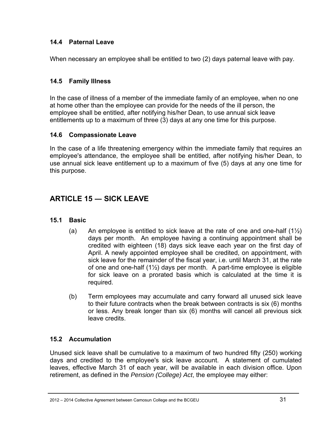### **14.4 Paternal Leave**

When necessary an employee shall be entitled to two (2) days paternal leave with pay.

### **14.5 Family Illness**

In the case of illness of a member of the immediate family of an employee, when no one at home other than the employee can provide for the needs of the ill person, the employee shall be entitled, after notifying his/her Dean, to use annual sick leave entitlements up to a maximum of three (3) days at any one time for this purpose.

### **14.6 Compassionate Leave**

In the case of a life threatening emergency within the immediate family that requires an employee's attendance, the employee shall be entitled, after notifying his/her Dean, to use annual sick leave entitlement up to a maximum of five (5) days at any one time for this purpose.

# **ARTICLE 15 ― SICK LEAVE**

### **15.1 Basic**

- (a) An employee is entitled to sick leave at the rate of one and one-half  $(1\frac{1}{2})$ days per month. An employee having a continuing appointment shall be credited with eighteen (18) days sick leave each year on the first day of April. A newly appointed employee shall be credited, on appointment, with sick leave for the remainder of the fiscal year, i.e. until March 31, at the rate of one and one-half (1½) days per month. A part-time employee is eligible for sick leave on a prorated basis which is calculated at the time it is required.
- (b) Term employees may accumulate and carry forward all unused sick leave to their future contracts when the break between contracts is six (6) months or less. Any break longer than six (6) months will cancel all previous sick leave credits.

### **15.2 Accumulation**

Unused sick leave shall be cumulative to a maximum of two hundred fifty (250) working days and credited to the employee's sick leave account. A statement of cumulated leaves, effective March 31 of each year, will be available in each division office. Upon retirement, as defined in the *Pension (College) Act*, the employee may either: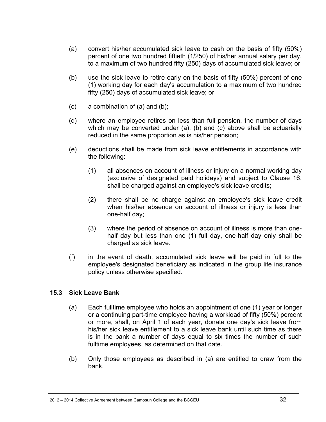- (a) convert his/her accumulated sick leave to cash on the basis of fifty (50%) percent of one two hundred fiftieth (1/250) of his/her annual salary per day, to a maximum of two hundred fifty (250) days of accumulated sick leave; or
- (b) use the sick leave to retire early on the basis of fifty (50%) percent of one (1) working day for each day's accumulation to a maximum of two hundred fifty (250) days of accumulated sick leave; or
- $(c)$  a combination of  $(a)$  and  $(b)$ ;
- (d) where an employee retires on less than full pension, the number of days which may be converted under (a), (b) and (c) above shall be actuarially reduced in the same proportion as is his/her pension;
- (e) deductions shall be made from sick leave entitlements in accordance with the following:
	- (1) all absences on account of illness or injury on a normal working day (exclusive of designated paid holidays) and subject to Clause 16, shall be charged against an employee's sick leave credits;
	- (2) there shall be no charge against an employee's sick leave credit when his/her absence on account of illness or injury is less than one-half day;
	- (3) where the period of absence on account of illness is more than onehalf day but less than one (1) full day, one-half day only shall be charged as sick leave.
- (f) in the event of death, accumulated sick leave will be paid in full to the employee's designated beneficiary as indicated in the group life insurance policy unless otherwise specified.

### **15.3 Sick Leave Bank**

- (a) Each fulltime employee who holds an appointment of one (1) year or longer or a continuing part-time employee having a workload of fifty (50%) percent or more, shall, on April 1 of each year, donate one day's sick leave from his/her sick leave entitlement to a sick leave bank until such time as there is in the bank a number of days equal to six times the number of such fulltime employees, as determined on that date.
- (b) Only those employees as described in (a) are entitled to draw from the bank.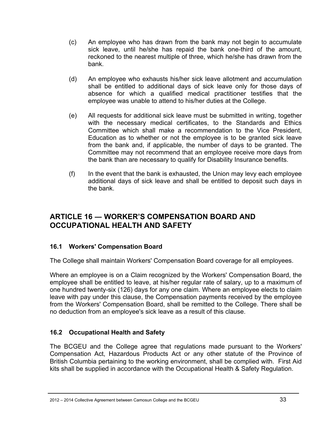- (c) An employee who has drawn from the bank may not begin to accumulate sick leave, until he/she has repaid the bank one-third of the amount, reckoned to the nearest multiple of three, which he/she has drawn from the bank.
- (d) An employee who exhausts his/her sick leave allotment and accumulation shall be entitled to additional days of sick leave only for those days of absence for which a qualified medical practitioner testifies that the employee was unable to attend to his/her duties at the College.
- (e) All requests for additional sick leave must be submitted in writing, together with the necessary medical certificates, to the Standards and Ethics Committee which shall make a recommendation to the Vice President, Education as to whether or not the employee is to be granted sick leave from the bank and, if applicable, the number of days to be granted. The Committee may not recommend that an employee receive more days from the bank than are necessary to qualify for Disability Insurance benefits.
- $(f)$  In the event that the bank is exhausted, the Union may levy each employee additional days of sick leave and shall be entitled to deposit such days in the bank.

# **ARTICLE 16 ― WORKER'S COMPENSATION BOARD AND OCCUPATIONAL HEALTH AND SAFETY**

### **16.1 Workers' Compensation Board**

The College shall maintain Workers' Compensation Board coverage for all employees.

Where an employee is on a Claim recognized by the Workers' Compensation Board, the employee shall be entitled to leave, at his/her regular rate of salary, up to a maximum of one hundred twenty-six (126) days for any one claim. Where an employee elects to claim leave with pay under this clause, the Compensation payments received by the employee from the Workers' Compensation Board, shall be remitted to the College. There shall be no deduction from an employee's sick leave as a result of this clause.

# **16.2 Occupational Health and Safety**

The BCGEU and the College agree that regulations made pursuant to the Workers' Compensation Act, Hazardous Products Act or any other statute of the Province of British Columbia pertaining to the working environment, shall be complied with. First Aid kits shall be supplied in accordance with the Occupational Health & Safety Regulation.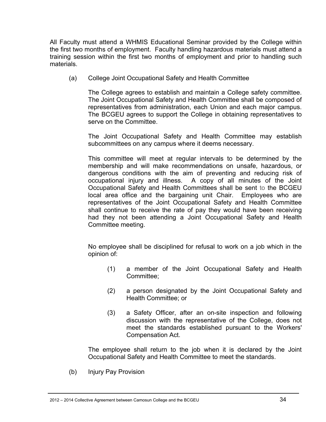All Faculty must attend a WHMIS Educational Seminar provided by the College within the first two months of employment. Faculty handling hazardous materials must attend a training session within the first two months of employment and prior to handling such materials.

(a) College Joint Occupational Safety and Health Committee

The College agrees to establish and maintain a College safety committee. The Joint Occupational Safety and Health Committee shall be composed of representatives from administration, each Union and each major campus. The BCGEU agrees to support the College in obtaining representatives to serve on the Committee.

The Joint Occupational Safety and Health Committee may establish subcommittees on any campus where it deems necessary.

This committee will meet at regular intervals to be determined by the membership and will make recommendations on unsafe, hazardous, or dangerous conditions with the aim of preventing and reducing risk of occupational injury and illness. A copy of all minutes of the Joint Occupational Safety and Health Committees shall be sent to the BCGEU local area office and the bargaining unit Chair. Employees who are representatives of the Joint Occupational Safety and Health Committee shall continue to receive the rate of pay they would have been receiving had they not been attending a Joint Occupational Safety and Health Committee meeting.

No employee shall be disciplined for refusal to work on a job which in the opinion of:

- (1) a member of the Joint Occupational Safety and Health Committee;
- (2) a person designated by the Joint Occupational Safety and Health Committee; or
- (3) a Safety Officer, after an on-site inspection and following discussion with the representative of the College, does not meet the standards established pursuant to the Workers' Compensation Act.

The employee shall return to the job when it is declared by the Joint Occupational Safety and Health Committee to meet the standards.

(b) Injury Pay Provision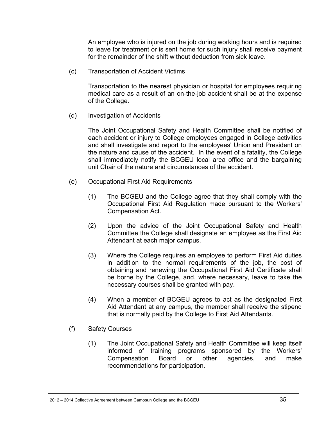An employee who is injured on the job during working hours and is required to leave for treatment or is sent home for such injury shall receive payment for the remainder of the shift without deduction from sick leave.

(c) Transportation of Accident Victims

Transportation to the nearest physician or hospital for employees requiring medical care as a result of an on-the-job accident shall be at the expense of the College.

(d) Investigation of Accidents

The Joint Occupational Safety and Health Committee shall be notified of each accident or injury to College employees engaged in College activities and shall investigate and report to the employees' Union and President on the nature and cause of the accident. In the event of a fatality, the College shall immediately notify the BCGEU local area office and the bargaining unit Chair of the nature and circumstances of the accident.

- (e) Occupational First Aid Requirements
	- (1) The BCGEU and the College agree that they shall comply with the Occupational First Aid Regulation made pursuant to the Workers' Compensation Act.
	- (2) Upon the advice of the Joint Occupational Safety and Health Committee the College shall designate an employee as the First Aid Attendant at each major campus.
	- (3) Where the College requires an employee to perform First Aid duties in addition to the normal requirements of the job, the cost of obtaining and renewing the Occupational First Aid Certificate shall be borne by the College, and, where necessary, leave to take the necessary courses shall be granted with pay.
	- (4) When a member of BCGEU agrees to act as the designated First Aid Attendant at any campus, the member shall receive the stipend that is normally paid by the College to First Aid Attendants.
- (f) Safety Courses
	- (1) The Joint Occupational Safety and Health Committee will keep itself informed of training programs sponsored by the Workers' Compensation Board or other agencies, and make recommendations for participation.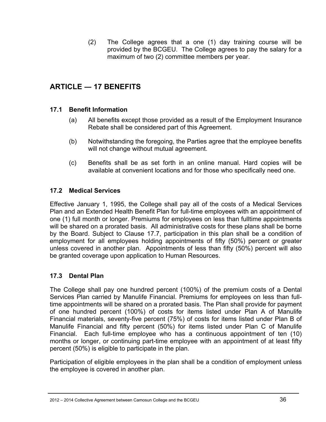(2) The College agrees that a one (1) day training course will be provided by the BCGEU. The College agrees to pay the salary for a maximum of two (2) committee members per year.

# **ARTICLE ― 17 BENEFITS**

### **17.1 Benefit Information**

- (a) All benefits except those provided as a result of the Employment Insurance Rebate shall be considered part of this Agreement.
- (b) Notwithstanding the foregoing, the Parties agree that the employee benefits will not change without mutual agreement.
- (c) Benefits shall be as set forth in an online manual. Hard copies will be available at convenient locations and for those who specifically need one.

#### **17.2 Medical Services**

Effective January 1, 1995, the College shall pay all of the costs of a Medical Services Plan and an Extended Health Benefit Plan for full-time employees with an appointment of one (1) full month or longer. Premiums for employees on less than fulltime appointments will be shared on a prorated basis. All administrative costs for these plans shall be borne by the Board. Subject to Clause 17.7, participation in this plan shall be a condition of employment for all employees holding appointments of fifty (50%) percent or greater unless covered in another plan. Appointments of less than fifty (50%) percent will also be granted coverage upon application to Human Resources.

#### **17.3 Dental Plan**

The College shall pay one hundred percent (100%) of the premium costs of a Dental Services Plan carried by Manulife Financial. Premiums for employees on less than fulltime appointments will be shared on a prorated basis. The Plan shall provide for payment of one hundred percent (100%) of costs for items listed under Plan A of Manulife Financial materials, seventy-five percent (75%) of costs for items listed under Plan B of Manulife Financial and fifty percent (50%) for items listed under Plan C of Manulife Financial. Each full-time employee who has a continuous appointment of ten (10) months or longer, or continuing part-time employee with an appointment of at least fifty percent (50%) is eligible to participate in the plan.

Participation of eligible employees in the plan shall be a condition of employment unless the employee is covered in another plan.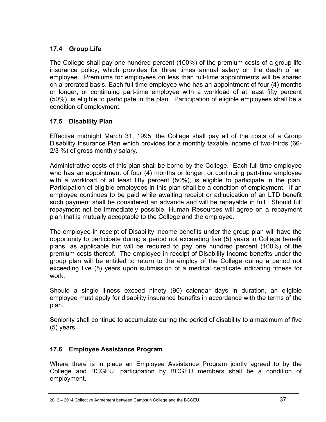### **17.4 Group Life**

The College shall pay one hundred percent (100%) of the premium costs of a group life insurance policy, which provides for three times annual salary on the death of an employee. Premiums for employees on less than full-time appointments will be shared on a prorated basis. Each full-time employee who has an appointment of four (4) months or longer, or continuing part-time employee with a workload of at least fifty percent (50%), is eligible to participate in the plan. Participation of eligible employees shall be a condition of employment.

### **17.5 Disability Plan**

Effective midnight March 31, 1995, the College shall pay all of the costs of a Group Disability Insurance Plan which provides for a monthly taxable income of two-thirds (66- 2/3 %) of gross monthly salary.

Administrative costs of this plan shall be borne by the College. Each full-time employee who has an appointment of four (4) months or longer, or continuing part-time employee with a workload of at least fifty percent (50%), is eligible to participate in the plan. Participation of eligible employees in this plan shall be a condition of employment. If an employee continues to be paid while awaiting receipt or adjudication of an LTD benefit such payment shall be considered an advance and will be repayable in full. Should full repayment not be immediately possible, Human Resources will agree on a repayment plan that is mutually acceptable to the College and the employee.

The employee in receipt of Disability Income benefits under the group plan will have the opportunity to participate during a period not exceeding five (5) years in College benefit plans, as applicable but will be required to pay one hundred percent (100%) of the premium costs thereof. The employee in receipt of Disability Income benefits under the group plan will be entitled to return to the employ of the College during a period not exceeding five (5) years upon submission of a medical certificate indicating fitness for work.

Should a single illness exceed ninety (90) calendar days in duration, an eligible employee must apply for disability insurance benefits in accordance with the terms of the plan.

Seniority shall continue to accumulate during the period of disability to a maximum of five (5) years.

# **17.6 Employee Assistance Program**

Where there is in place an Employee Assistance Program jointly agreed to by the College and BCGEU, participation by BCGEU members shall be a condition of employment.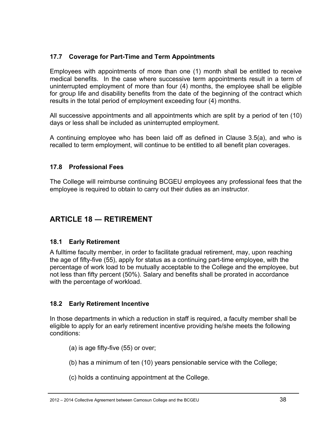### **17.7 Coverage for Part-Time and Term Appointments**

Employees with appointments of more than one (1) month shall be entitled to receive medical benefits. In the case where successive term appointments result in a term of uninterrupted employment of more than four (4) months, the employee shall be eligible for group life and disability benefits from the date of the beginning of the contract which results in the total period of employment exceeding four (4) months.

All successive appointments and all appointments which are split by a period of ten (10) days or less shall be included as uninterrupted employment.

A continuing employee who has been laid off as defined in Clause 3.5(a), and who is recalled to term employment, will continue to be entitled to all benefit plan coverages.

#### **17.8 Professional Fees**

The College will reimburse continuing BCGEU employees any professional fees that the employee is required to obtain to carry out their duties as an instructor.

# **ARTICLE 18 ― RETIREMENT**

### **18.1 Early Retirement**

A fulltime faculty member, in order to facilitate gradual retirement, may, upon reaching the age of fifty-five (55), apply for status as a continuing part-time employee, with the percentage of work load to be mutually acceptable to the College and the employee, but not less than fifty percent (50%). Salary and benefits shall be prorated in accordance with the percentage of workload.

### **18.2 Early Retirement Incentive**

In those departments in which a reduction in staff is required, a faculty member shall be eligible to apply for an early retirement incentive providing he/she meets the following conditions:

- (a) is age fifty-five (55) or over;
- (b) has a minimum of ten (10) years pensionable service with the College;
- (c) holds a continuing appointment at the College.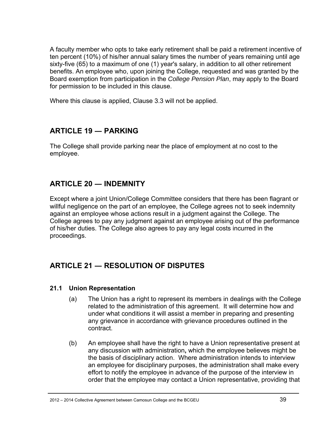A faculty member who opts to take early retirement shall be paid a retirement incentive of ten percent (10%) of his/her annual salary times the number of years remaining until age sixty-five (65) to a maximum of one (1) year's salary, in addition to all other retirement benefits. An employee who, upon joining the College, requested and was granted by the Board exemption from participation in the *College Pension Plan*, may apply to the Board for permission to be included in this clause.

Where this clause is applied, Clause 3.3 will not be applied.

# **ARTICLE 19 ― PARKING**

The College shall provide parking near the place of employment at no cost to the employee.

# **ARTICLE 20 ― INDEMNITY**

Except where a joint Union/College Committee considers that there has been flagrant or willful negligence on the part of an employee, the College agrees not to seek indemnity against an employee whose actions result in a judgment against the College. The College agrees to pay any judgment against an employee arising out of the performance of his/her duties. The College also agrees to pay any legal costs incurred in the proceedings.

# **ARTICLE 21 ― RESOLUTION OF DISPUTES**

#### **21.1 Union Representation**

- (a) The Union has a right to represent its members in dealings with the College related to the administration of this agreement. It will determine how and under what conditions it will assist a member in preparing and presenting any grievance in accordance with grievance procedures outlined in the contract.
- (b) An employee shall have the right to have a Union representative present at any discussion with administration**,** which the employee believes might be the basis of disciplinary action. Where administration intends to interview an employee for disciplinary purposes, the administration shall make every effort to notify the employee in advance of the purpose of the interview in order that the employee may contact a Union representative, providing that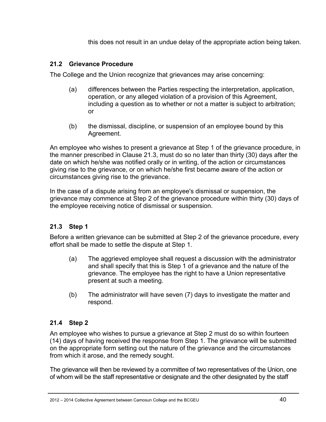this does not result in an undue delay of the appropriate action being taken.

### **21.2 Grievance Procedure**

The College and the Union recognize that grievances may arise concerning:

- (a) differences between the Parties respecting the interpretation, application, operation, or any alleged violation of a provision of this Agreement, including a question as to whether or not a matter is subject to arbitration; or
- (b) the dismissal, discipline, or suspension of an employee bound by this Agreement.

An employee who wishes to present a grievance at Step 1 of the grievance procedure, in the manner prescribed in Clause 21.3, must do so no later than thirty (30) days after the date on which he/she was notified orally or in writing, of the action or circumstances giving rise to the grievance, or on which he/she first became aware of the action or circumstances giving rise to the grievance.

In the case of a dispute arising from an employee's dismissal or suspension, the grievance may commence at Step 2 of the grievance procedure within thirty (30) days of the employee receiving notice of dismissal or suspension.

# **21.3 Step 1**

Before a written grievance can be submitted at Step 2 of the grievance procedure, every effort shall be made to settle the dispute at Step 1.

- (a) The aggrieved employee shall request a discussion with the administrator and shall specify that this is Step 1 of a grievance and the nature of the grievance. The employee has the right to have a Union representative present at such a meeting.
- (b) The administrator will have seven (7) days to investigate the matter and respond.

# **21.4 Step 2**

An employee who wishes to pursue a grievance at Step 2 must do so within fourteen (14) days of having received the response from Step 1. The grievance will be submitted on the appropriate form setting out the nature of the grievance and the circumstances from which it arose, and the remedy sought.

The grievance will then be reviewed by a committee of two representatives of the Union, one of whom will be the staff representative or designate and the other designated by the staff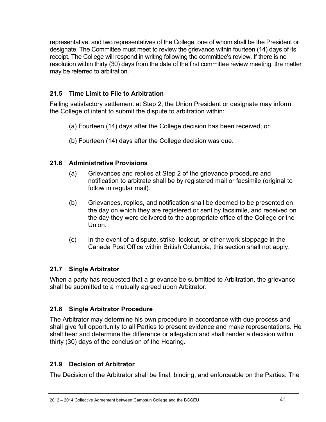representative, and two representatives of the College, one of whom shall be the President or designate. The Committee must meet to review the grievance within fourteen (14) days of its receipt. The College will respond in writing following the committee's review. If there is no resolution within thirty (30) days from the date of the first committee review meeting, the matter may be referred to arbitration.

### **21.5 Time Limit to File to Arbitration**

Failing satisfactory settlement at Step 2, the Union President or designate may inform the College of intent to submit the dispute to arbitration within:

- (a) Fourteen (14) days after the College decision has been received; or
- (b) Fourteen (14) days after the College decision was due.

### **21.6 Administrative Provisions**

- (a) Grievances and replies at Step 2 of the grievance procedure and notification to arbitrate shall be by registered mail or facsimile (original to follow in regular mail).
- (b) Grievances, replies, and notification shall be deemed to be presented on the day on which they are registered or sent by facsimile, and received on the day they were delivered to the appropriate office of the College or the Union.
- (c) In the event of a dispute, strike, lockout, or other work stoppage in the Canada Post Office within British Columbia, this section shall not apply.

### **21.7 Single Arbitrator**

When a party has requested that a grievance be submitted to Arbitration, the grievance shall be submitted to a mutually agreed upon Arbitrator.

### **21.8 Single Arbitrator Procedure**

The Arbitrator may determine his own procedure in accordance with due process and shall give full opportunity to all Parties to present evidence and make representations. He shall hear and determine the difference or allegation and shall render a decision within thirty (30) days of the conclusion of the Hearing.

### **21.9 Decision of Arbitrator**

The Decision of the Arbitrator shall be final, binding, and enforceable on the Parties. The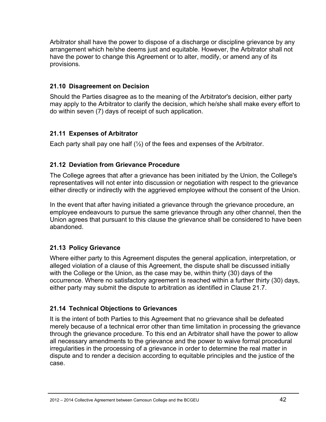Arbitrator shall have the power to dispose of a discharge or discipline grievance by any arrangement which he/she deems just and equitable. However, the Arbitrator shall not have the power to change this Agreement or to alter, modify, or amend any of its provisions.

### **21.10 Disagreement on Decision**

Should the Parties disagree as to the meaning of the Arbitrator's decision, either party may apply to the Arbitrator to clarify the decision, which he/she shall make every effort to do within seven (7) days of receipt of such application.

# **21.11 Expenses of Arbitrator**

Each party shall pay one half  $(\frac{1}{2})$  of the fees and expenses of the Arbitrator.

# **21.12 Deviation from Grievance Procedure**

The College agrees that after a grievance has been initiated by the Union, the College's representatives will not enter into discussion or negotiation with respect to the grievance either directly or indirectly with the aggrieved employee without the consent of the Union.

In the event that after having initiated a grievance through the grievance procedure, an employee endeavours to pursue the same grievance through any other channel, then the Union agrees that pursuant to this clause the grievance shall be considered to have been abandoned.

# **21.13 Policy Grievance**

Where either party to this Agreement disputes the general application, interpretation, or alleged violation of a clause of this Agreement, the dispute shall be discussed initially with the College or the Union, as the case may be, within thirty (30) days of the occurrence. Where no satisfactory agreement is reached within a further thirty (30) days, either party may submit the dispute to arbitration as identified in Clause 21.7.

# **21.14 Technical Objections to Grievances**

It is the intent of both Parties to this Agreement that no grievance shall be defeated merely because of a technical error other than time limitation in processing the grievance through the grievance procedure. To this end an Arbitrator shall have the power to allow all necessary amendments to the grievance and the power to waive formal procedural irregularities in the processing of a grievance in order to determine the real matter in dispute and to render a decision according to equitable principles and the justice of the case.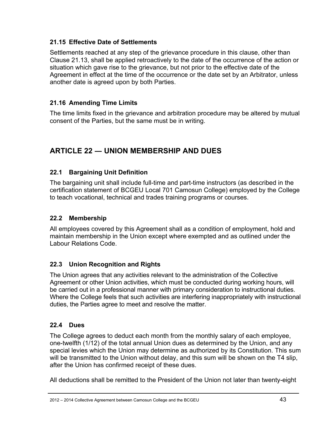### **21.15 Effective Date of Settlements**

Settlements reached at any step of the grievance procedure in this clause, other than Clause 21.13, shall be applied retroactively to the date of the occurrence of the action or situation which gave rise to the grievance, but not prior to the effective date of the Agreement in effect at the time of the occurrence or the date set by an Arbitrator, unless another date is agreed upon by both Parties.

# **21.16 Amending Time Limits**

The time limits fixed in the grievance and arbitration procedure may be altered by mutual consent of the Parties, but the same must be in writing.

# **ARTICLE 22 ― UNION MEMBERSHIP AND DUES**

# **22.1 Bargaining Unit Definition**

The bargaining unit shall include full-time and part-time instructors (as described in the certification statement of BCGEU Local 701 Camosun College) employed by the College to teach vocational, technical and trades training programs or courses.

# **22.2 Membership**

All employees covered by this Agreement shall as a condition of employment, hold and maintain membership in the Union except where exempted and as outlined under the Labour Relations Code.

# **22.3 Union Recognition and Rights**

The Union agrees that any activities relevant to the administration of the Collective Agreement or other Union activities, which must be conducted during working hours, will be carried out in a professional manner with primary consideration to instructional duties. Where the College feels that such activities are interfering inappropriately with instructional duties, the Parties agree to meet and resolve the matter.

# **22.4 Dues**

The College agrees to deduct each month from the monthly salary of each employee, one-twelfth (1/12) of the total annual Union dues as determined by the Union, and any special levies which the Union may determine as authorized by its Constitution. This sum will be transmitted to the Union without delay, and this sum will be shown on the T4 slip, after the Union has confirmed receipt of these dues.

All deductions shall be remitted to the President of the Union not later than twenty-eight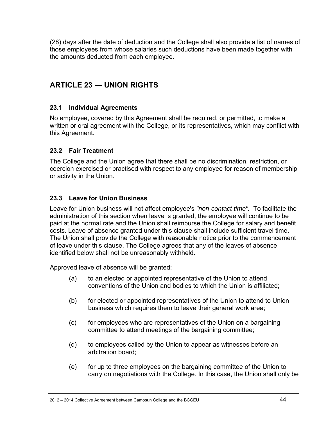(28) days after the date of deduction and the College shall also provide a list of names of those employees from whose salaries such deductions have been made together with the amounts deducted from each employee.

# **ARTICLE 23 ― UNION RIGHTS**

### **23.1 Individual Agreements**

No employee, covered by this Agreement shall be required, or permitted, to make a written or oral agreement with the College, or its representatives, which may conflict with this Agreement.

### **23.2 Fair Treatment**

The College and the Union agree that there shall be no discrimination, restriction, or coercion exercised or practised with respect to any employee for reason of membership or activity in the Union.

# **23.3 Leave for Union Business**

Leave for Union business will not affect employee's *"non-contact time".* To facilitate the administration of this section when leave is granted, the employee will continue to be paid at the normal rate and the Union shall reimburse the College for salary and benefit costs. Leave of absence granted under this clause shall include sufficient travel time. The Union shall provide the College with reasonable notice prior to the commencement of leave under this clause. The College agrees that any of the leaves of absence identified below shall not be unreasonably withheld.

Approved leave of absence will be granted:

- (a) to an elected or appointed representative of the Union to attend conventions of the Union and bodies to which the Union is affiliated;
- (b) for elected or appointed representatives of the Union to attend to Union business which requires them to leave their general work area;
- (c) for employees who are representatives of the Union on a bargaining committee to attend meetings of the bargaining committee;
- (d) to employees called by the Union to appear as witnesses before an arbitration board;
- (e) for up to three employees on the bargaining committee of the Union to carry on negotiations with the College. In this case, the Union shall only be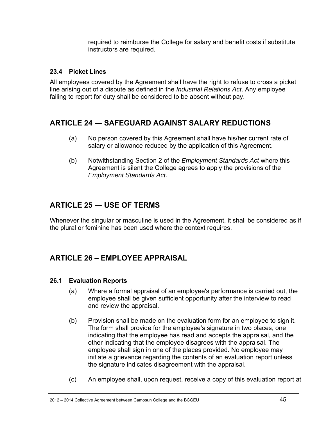required to reimburse the College for salary and benefit costs if substitute instructors are required.

### **23.4 Picket Lines**

All employees covered by the Agreement shall have the right to refuse to cross a picket line arising out of a dispute as defined in the *Industrial Relations Act*. Any employee failing to report for duty shall be considered to be absent without pay.

# **ARTICLE 24 ― SAFEGUARD AGAINST SALARY REDUCTIONS**

- (a) No person covered by this Agreement shall have his/her current rate of salary or allowance reduced by the application of this Agreement.
- (b) Notwithstanding Section 2 of the *Employment Standards Act* where this Agreement is silent the College agrees to apply the provisions of the *Employment Standards Act*.

# **ARTICLE 25 ― USE OF TERMS**

Whenever the singular or masculine is used in the Agreement, it shall be considered as if the plural or feminine has been used where the context requires.

# **ARTICLE 26 – EMPLOYEE APPRAISAL**

### **26.1 Evaluation Reports**

- (a) Where a formal appraisal of an employee's performance is carried out, the employee shall be given sufficient opportunity after the interview to read and review the appraisal.
- (b) Provision shall be made on the evaluation form for an employee to sign it. The form shall provide for the employee's signature in two places, one indicating that the employee has read and accepts the appraisal, and the other indicating that the employee disagrees with the appraisal. The employee shall sign in one of the places provided. No employee may initiate a grievance regarding the contents of an evaluation report unless the signature indicates disagreement with the appraisal.
- (c) An employee shall, upon request, receive a copy of this evaluation report at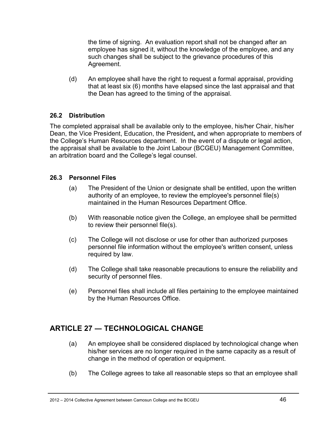the time of signing. An evaluation report shall not be changed after an employee has signed it, without the knowledge of the employee, and any such changes shall be subject to the grievance procedures of this Agreement.

(d) An employee shall have the right to request a formal appraisal, providing that at least six (6) months have elapsed since the last appraisal and that the Dean has agreed to the timing of the appraisal.

### **26.2 Distribution**

The completed appraisal shall be available only to the employee, his/her Chair, his/her Dean, the Vice President, Education, the President**,** and when appropriate to members of the College's Human Resources department. In the event of a dispute or legal action, the appraisal shall be available to the Joint Labour (BCGEU) Management Committee, an arbitration board and the College's legal counsel.

### **26.3 Personnel Files**

- (a) The President of the Union or designate shall be entitled, upon the written authority of an employee, to review the employee's personnel file(s) maintained in the Human Resources Department Office.
- (b) With reasonable notice given the College, an employee shall be permitted to review their personnel file(s).
- (c) The College will not disclose or use for other than authorized purposes personnel file information without the employee's written consent, unless required by law.
- (d) The College shall take reasonable precautions to ensure the reliability and security of personnel files.
- (e) Personnel files shall include all files pertaining to the employee maintained by the Human Resources Office.

# **ARTICLE 27 ― TECHNOLOGICAL CHANGE**

- (a) An employee shall be considered displaced by technological change when his/her services are no longer required in the same capacity as a result of change in the method of operation or equipment.
- (b) The College agrees to take all reasonable steps so that an employee shall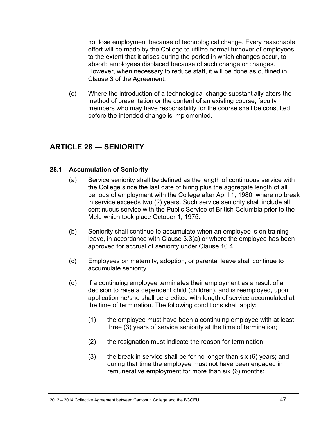not lose employment because of technological change. Every reasonable effort will be made by the College to utilize normal turnover of employees, to the extent that it arises during the period in which changes occur, to absorb employees displaced because of such change or changes. However, when necessary to reduce staff, it will be done as outlined in Clause 3 of the Agreement.

(c) Where the introduction of a technological change substantially alters the method of presentation or the content of an existing course, faculty members who may have responsibility for the course shall be consulted before the intended change is implemented.

# **ARTICLE 28 ― SENIORITY**

#### **28.1 Accumulation of Seniority**

- (a) Service seniority shall be defined as the length of continuous service with the College since the last date of hiring plus the aggregate length of all periods of employment with the College after April 1, 1980, where no break in service exceeds two (2) years. Such service seniority shall include all continuous service with the Public Service of British Columbia prior to the Meld which took place October 1, 1975.
- (b) Seniority shall continue to accumulate when an employee is on training leave, in accordance with Clause 3.3(a) or where the employee has been approved for accrual of seniority under Clause 10.4.
- (c) Employees on maternity, adoption, or parental leave shall continue to accumulate seniority.
- (d) If a continuing employee terminates their employment as a result of a decision to raise a dependent child (children), and is reemployed, upon application he/she shall be credited with length of service accumulated at the time of termination. The following conditions shall apply:
	- (1) the employee must have been a continuing employee with at least three (3) years of service seniority at the time of termination;
	- (2) the resignation must indicate the reason for termination;
	- (3) the break in service shall be for no longer than six (6) years; and during that time the employee must not have been engaged in remunerative employment for more than six (6) months;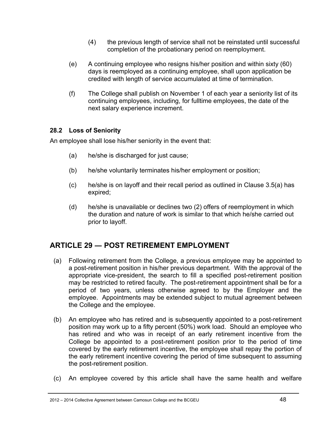- (4) the previous length of service shall not be reinstated until successful completion of the probationary period on reemployment.
- (e) A continuing employee who resigns his/her position and within sixty (60) days is reemployed as a continuing employee, shall upon application be credited with length of service accumulated at time of termination.
- (f) The College shall publish on November 1 of each year a seniority list of its continuing employees, including, for fulltime employees, the date of the next salary experience increment.

### **28.2 Loss of Seniority**

An employee shall lose his/her seniority in the event that:

- (a) he/she is discharged for just cause;
- (b) he/she voluntarily terminates his/her employment or position;
- (c) he/she is on layoff and their recall period as outlined in Clause 3.5(a) has expired;
- (d) he/she is unavailable or declines two (2) offers of reemployment in which the duration and nature of work is similar to that which he/she carried out prior to layoff.

# **ARTICLE 29 ― POST RETIREMENT EMPLOYMENT**

- (a) Following retirement from the College, a previous employee may be appointed to a post-retirement position in his/her previous department. With the approval of the appropriate vice-president, the search to fill a specified post-retirement position may be restricted to retired faculty. The post-retirement appointment shall be for a period of two years, unless otherwise agreed to by the Employer and the employee. Appointments may be extended subject to mutual agreement between the College and the employee.
- (b) An employee who has retired and is subsequently appointed to a post-retirement position may work up to a fifty percent (50%) work load. Should an employee who has retired and who was in receipt of an early retirement incentive from the College be appointed to a post-retirement position prior to the period of time covered by the early retirement incentive, the employee shall repay the portion of the early retirement incentive covering the period of time subsequent to assuming the post-retirement position.
- (c) An employee covered by this article shall have the same health and welfare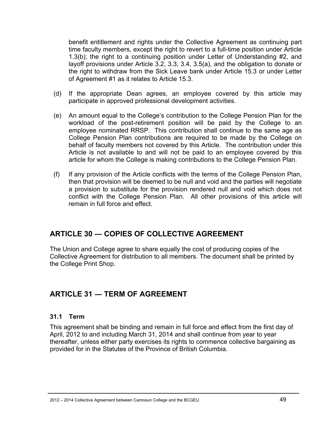benefit entitlement and rights under the Collective Agreement as continuing part time faculty members, except the right to revert to a full-time position under Article 1.3(b); the right to a continuing position under Letter of Understanding #2, and layoff provisions under Article 3.2, 3.3, 3.4, 3.5(a), and the obligation to donate or the right to withdraw from the Sick Leave bank under Article 15.3 or under Letter of Agreement #1 as it relates to Article 15.3.

- (d) If the appropriate Dean agrees, an employee covered by this article may participate in approved professional development activities.
- (e) An amount equal to the College's contribution to the College Pension Plan for the workload of the post-retirement position will be paid by the College to an employee nominated RRSP. This contribution shall continue to the same age as College Pension Plan contributions are required to be made by the College on behalf of faculty members not covered by this Article. The contribution under this Article is not available to and will not be paid to an employee covered by this article for whom the College is making contributions to the College Pension Plan.
- (f) If any provision of the Article conflicts with the terms of the College Pension Plan, then that provision will be deemed to be null and void and the parties will negotiate a provision to substitute for the provision rendered null and void which does not conflict with the College Pension Plan. All other provisions of this article will remain in full force and effect.

# **ARTICLE 30 ― COPIES OF COLLECTIVE AGREEMENT**

The Union and College agree to share equally the cost of producing copies of the Collective Agreement for distribution to all members. The document shall be printed by the College Print Shop.

# **ARTICLE 31 ― TERM OF AGREEMENT**

### **31.1 Term**

This agreement shall be binding and remain in full force and effect from the first day of April, 2012 to and including March 31, 2014 and shall continue from year to year thereafter, unless either party exercises its rights to commence collective bargaining as provided for in the Statutes of the Province of British Columbia.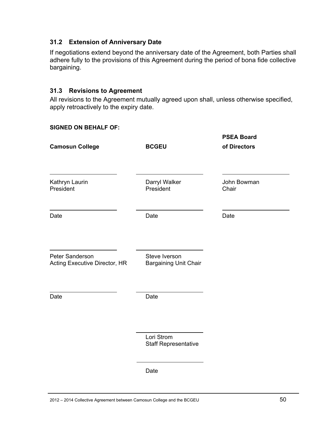#### **31.2 Extension of Anniversary Date**

If negotiations extend beyond the anniversary date of the Agreement, both Parties shall adhere fully to the provisions of this Agreement during the period of bona fide collective bargaining.

#### **31.3 Revisions to Agreement**

All revisions to the Agreement mutually agreed upon shall, unless otherwise specified, apply retroactively to the expiry date.

#### **SIGNED ON BEHALF OF:**

| <b>Camosun College</b>                           | <b>BCGEU</b>                                  | <b>PSEA Board</b><br>of Directors |
|--------------------------------------------------|-----------------------------------------------|-----------------------------------|
| Kathryn Laurin<br>President                      | Darryl Walker<br>President                    | John Bowman<br>Chair              |
| Date                                             | Date                                          | Date                              |
| Peter Sanderson<br>Acting Executive Director, HR | Steve Iverson<br><b>Bargaining Unit Chair</b> |                                   |
| Date                                             | Date                                          |                                   |
|                                                  | Lori Strom<br><b>Staff Representative</b>     |                                   |
|                                                  | Date                                          |                                   |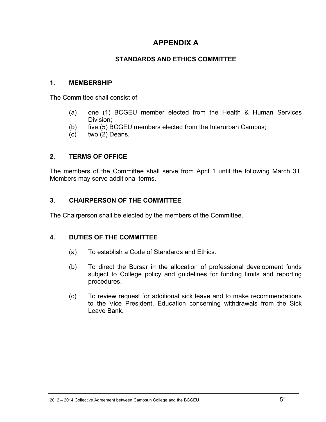# **APPENDIX A**

### **STANDARDS AND ETHICS COMMITTEE**

#### **1. MEMBERSHIP**

The Committee shall consist of:

- (a) one (1) BCGEU member elected from the Health & Human Services Division;
- (b) five (5) BCGEU members elected from the Interurban Campus;
- (c) two (2) Deans.

#### **2. TERMS OF OFFICE**

The members of the Committee shall serve from April 1 until the following March 31. Members may serve additional terms.

#### **3. CHAIRPERSON OF THE COMMITTEE**

The Chairperson shall be elected by the members of the Committee.

#### **4. DUTIES OF THE COMMITTEE**

- (a) To establish a Code of Standards and Ethics.
- (b) To direct the Bursar in the allocation of professional development funds subject to College policy and guidelines for funding limits and reporting procedures.
- (c) To review request for additional sick leave and to make recommendations to the Vice President, Education concerning withdrawals from the Sick Leave Bank.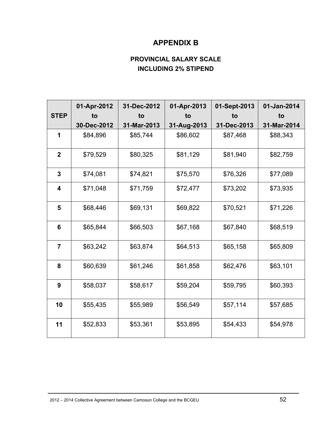# **APPENDIX B**

# **PROVINCIAL SALARY SCALE INCLUDING 2% STIPEND**

|                | 01-Apr-2012 | 31-Dec-2012 | 01-Apr-2013 | 01-Sept-2013 | 01-Jan-2014 |
|----------------|-------------|-------------|-------------|--------------|-------------|
| <b>STEP</b>    | to          | to          | tο          | to           | to          |
|                | 30-Dec-2012 | 31-Mar-2013 | 31-Aug-2013 | 31-Dec-2013  | 31-Mar-2014 |
| 1              | \$84,896    | \$85,744    | \$86,602    | \$87,468     | \$88,343    |
| $\overline{2}$ | \$79,529    | \$80,325    | \$81,129    | \$81,940     | \$82,759    |
| 3              | \$74,081    | \$74,821    | \$75,570    | \$76,326     | \$77,089    |
| 4              | \$71,048    | \$71,759    | \$72,477    | \$73,202     | \$73,935    |
| 5              | \$68,446    | \$69,131    | \$69,822    | \$70,521     | \$71,226    |
| 6              | \$65,844    | \$66,503    | \$67,168    | \$67,840     | \$68,519    |
| $\overline{7}$ | \$63,242    | \$63,874    | \$64,513    | \$65,158     | \$65,809    |
| 8              | \$60,639    | \$61,246    | \$61,858    | \$62,476     | \$63,101    |
| 9              | \$58,037    | \$58,617    | \$59,204    | \$59,795     | \$60,393    |
| 10             | \$55,435    | \$55,989    | \$56,549    | \$57,114     | \$57,685    |
| 11             | \$52,833    | \$53,361    | \$53,895    | \$54,433     | \$54,978    |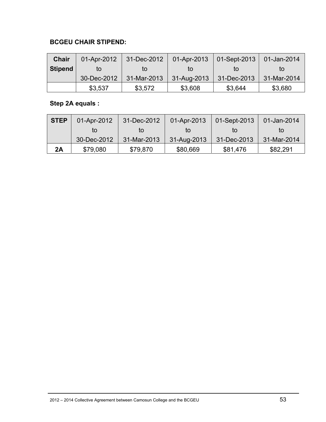### **BCGEU CHAIR STIPEND:**

| <b>Chair</b>   | 01-Apr-2012 | 31-Dec-2012 | 01-Apr-2013 | $01$ -Sept-2013 | 01-Jan-2014 |
|----------------|-------------|-------------|-------------|-----------------|-------------|
| <b>Stipend</b> | tΟ          | tΟ          | tΟ          | īΟ              | to          |
|                | 30-Dec-2012 | 31-Mar-2013 | 31-Aug-2013 | 31-Dec-2013     | 31-Mar-2014 |
|                | \$3,537     | \$3,572     | \$3,608     | \$3,644         | \$3,680     |

# **Step 2A equals :**

| <b>STEP</b> | 01-Apr-2012 | 31-Dec-2012 | 01-Apr-2013 | 01-Sept-2013 | 01-Jan-2014 |
|-------------|-------------|-------------|-------------|--------------|-------------|
|             | tΟ          | tΩ          | tΟ          | īΟ           | to          |
|             | 30-Dec-2012 | 31-Mar-2013 | 31-Aug-2013 | 31-Dec-2013  | 31-Mar-2014 |
| 2A          | \$79,080    | \$79,870    | \$80,669    | \$81,476     | \$82,291    |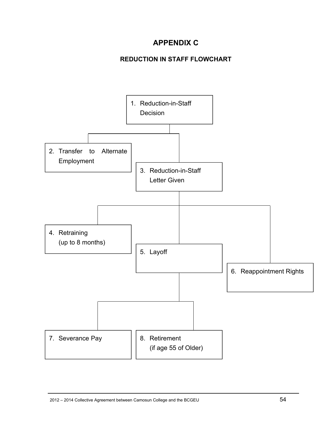# **APPENDIX C**

# **REDUCTION IN STAFF FLOWCHART**

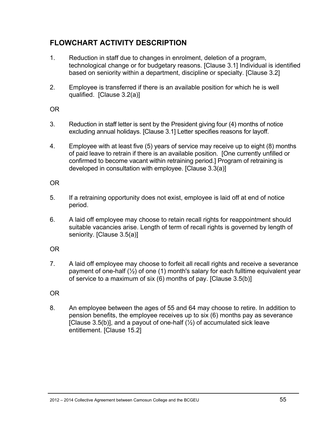# **FLOWCHART ACTIVITY DESCRIPTION**

- 1. Reduction in staff due to changes in enrolment, deletion of a program, technological change or for budgetary reasons. [Clause 3.1] Individual is identified based on seniority within a department, discipline or specialty. [Clause 3.2]
- 2. Employee is transferred if there is an available position for which he is well qualified. [Clause 3.2(a)]

OR

- 3. Reduction in staff letter is sent by the President giving four (4) months of notice excluding annual holidays. [Clause 3.1] Letter specifies reasons for layoff.
- 4. Employee with at least five (5) years of service may receive up to eight (8) months of paid leave to retrain if there is an available position. [One currently unfilled or confirmed to become vacant within retraining period.] Program of retraining is developed in consultation with employee. [Clause 3.3(a)]

### OR

- 5. If a retraining opportunity does not exist, employee is laid off at end of notice period.
- 6. A laid off employee may choose to retain recall rights for reappointment should suitable vacancies arise. Length of term of recall rights is governed by length of seniority. [Clause 3.5(a)]

# OR

7. A laid off employee may choose to forfeit all recall rights and receive a severance payment of one-half (½) of one (1) month's salary for each fulltime equivalent year of service to a maximum of six (6) months of pay. [Clause 3.5(b)]

# OR

8. An employee between the ages of 55 and 64 may choose to retire. In addition to pension benefits, the employee receives up to six (6) months pay as severance [Clause 3.5(b)], and a payout of one-half  $(\frac{1}{2})$  of accumulated sick leave entitlement. [Clause 15.2]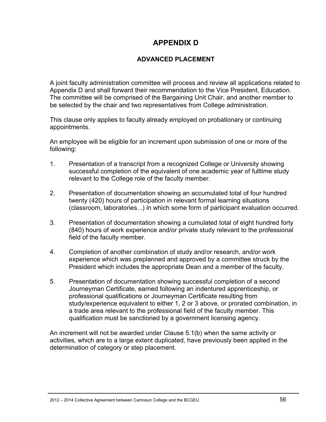# **APPENDIX D**

### **ADVANCED PLACEMENT**

A joint faculty administration committee will process and review all applications related to Appendix D and shall forward their recommendation to the Vice President, Education. The committee will be comprised of the Bargaining Unit Chair, and another member to be selected by the chair and two representatives from College administration.

This clause only applies to faculty already employed on probationary or continuing appointments.

An employee will be eligible for an increment upon submission of one or more of the following:

- 1. Presentation of a transcript from a recognized College or University showing successful completion of the equivalent of one academic year of fulltime study relevant to the College role of the faculty member.
- 2. Presentation of documentation showing an accumulated total of four hundred twenty (420) hours of participation in relevant formal learning situations (classroom, laboratories...) in which some form of participant evaluation occurred.
- 3. Presentation of documentation showing a cumulated total of eight hundred forty (840) hours of work experience and/or private study relevant to the professional field of the faculty member.
- 4. Completion of another combination of study and/or research, and/or work experience which was preplanned and approved by a committee struck by the President which includes the appropriate Dean and a member of the faculty.
- 5. Presentation of documentation showing successful completion of a second Journeyman Certificate, earned following an indentured apprenticeship, or professional qualifications or Journeyman Certificate resulting from study/experience equivalent to either 1, 2 or 3 above, or prorated combination, in a trade area relevant to the professional field of the faculty member. This qualification must be sanctioned by a government licensing agency.

An increment will not be awarded under Clause 5.1(b) when the same activity or activities, which are to a large extent duplicated, have previously been applied in the determination of category or step placement.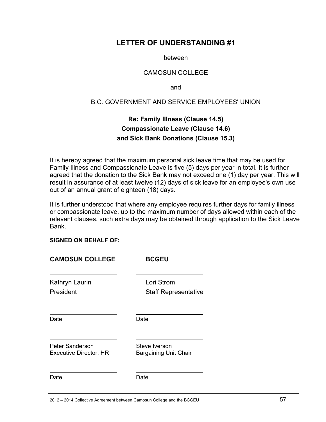# **LETTER OF UNDERSTANDING #1**

between

#### CAMOSUN COLLEGE

and

#### B.C. GOVERNMENT AND SERVICE EMPLOYEES' UNION

# **Re: Family Illness (Clause 14.5) Compassionate Leave (Clause 14.6) and Sick Bank Donations (Clause 15.3)**

It is hereby agreed that the maximum personal sick leave time that may be used for Family Illness and Compassionate Leave is five (5) days per year in total. It is further agreed that the donation to the Sick Bank may not exceed one (1) day per year. This will result in assurance of at least twelve (12) days of sick leave for an employee's own use out of an annual grant of eighteen (18) days.

It is further understood that where any employee requires further days for family illness or compassionate leave, up to the maximum number of days allowed within each of the relevant clauses, such extra days may be obtained through application to the Sick Leave Bank.

#### **SIGNED ON BEHALF OF:**

| <b>CAMOSUN COLLEGE</b>                           | <b>BCGEU</b>                                  |
|--------------------------------------------------|-----------------------------------------------|
| Kathryn Laurin<br>President                      | Lori Strom<br><b>Staff Representative</b>     |
| Date                                             | Date                                          |
| Peter Sanderson<br><b>Executive Director, HR</b> | Steve Iverson<br><b>Bargaining Unit Chair</b> |
| Date                                             | Date                                          |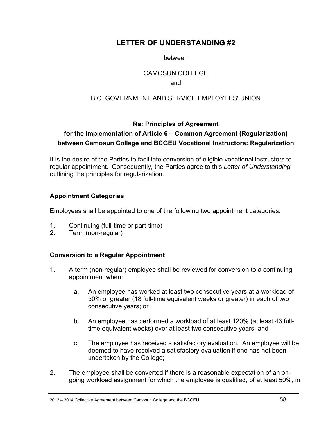# **LETTER OF UNDERSTANDING #2**

#### between

#### CAMOSUN COLLEGE

#### and

### B.C. GOVERNMENT AND SERVICE EMPLOYEES' UNION

### **Re: Principles of Agreement**

# **for the Implementation of Article 6 – Common Agreement (Regularization) between Camosun College and BCGEU Vocational Instructors: Regularization**

It is the desire of the Parties to facilitate conversion of eligible vocational instructors to regular appointment. Consequently, the Parties agree to this *Letter of Understanding* outlining the principles for regularization.

#### **Appointment Categories**

Employees shall be appointed to one of the following two appointment categories:

- 1. Continuing (full-time or part-time)
- 2. Term (non-regular)

### **Conversion to a Regular Appointment**

- 1. A term (non-regular) employee shall be reviewed for conversion to a continuing appointment when:
	- a. An employee has worked at least two consecutive years at a workload of 50% or greater (18 full-time equivalent weeks or greater) in each of two consecutive years; or
	- b. An employee has performed a workload of at least 120% (at least 43 fulltime equivalent weeks) over at least two consecutive years; and
	- c. The employee has received a satisfactory evaluation. An employee will be deemed to have received a satisfactory evaluation if one has not been undertaken by the College;
- 2. The employee shall be converted if there is a reasonable expectation of an ongoing workload assignment for which the employee is qualified, of at least 50%, in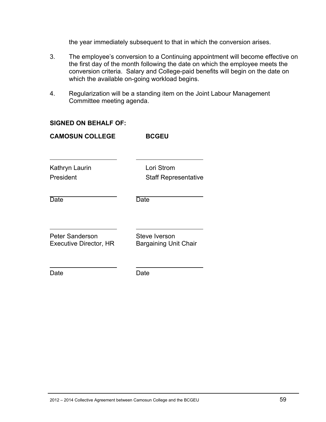the year immediately subsequent to that in which the conversion arises.

- 3. The employee's conversion to a Continuing appointment will become effective on the first day of the month following the date on which the employee meets the conversion criteria. Salary and College-paid benefits will begin on the date on which the available on-going workload begins.
- 4. Regularization will be a standing item on the Joint Labour Management Committee meeting agenda.

#### **SIGNED ON BEHALF OF:**

| <b>CAMOSUN COLLEGE</b>                                  | <b>BCGEU</b>                                  |
|---------------------------------------------------------|-----------------------------------------------|
| Kathryn Laurin<br>President                             | Lori Strom<br><b>Staff Representative</b>     |
| Date                                                    | Date                                          |
| <b>Peter Sanderson</b><br><b>Executive Director, HR</b> | Steve Iverson<br><b>Bargaining Unit Chair</b> |
| Date                                                    | Date                                          |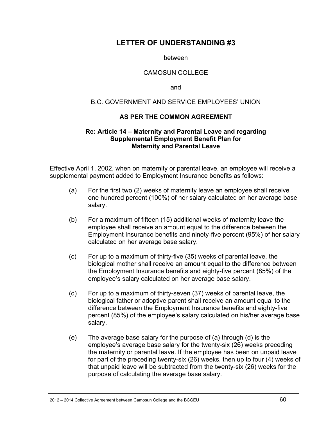# **LETTER OF UNDERSTANDING #3**

between

#### CAMOSUN COLLEGE

and

#### B.C. GOVERNMENT AND SERVICE EMPLOYEES' UNION

#### **AS PER THE COMMON AGREEMENT**

#### **Re: Article 14 – Maternity and Parental Leave and regarding Supplemental Employment Benefit Plan for Maternity and Parental Leave**

Effective April 1, 2002, when on maternity or parental leave, an employee will receive a supplemental payment added to Employment Insurance benefits as follows:

- (a) For the first two (2) weeks of maternity leave an employee shall receive one hundred percent (100%) of her salary calculated on her average base salary.
- (b) For a maximum of fifteen (15) additional weeks of maternity leave the employee shall receive an amount equal to the difference between the Employment Insurance benefits and ninety-five percent (95%) of her salary calculated on her average base salary.
- (c) For up to a maximum of thirty-five (35) weeks of parental leave, the biological mother shall receive an amount equal to the difference between the Employment Insurance benefits and eighty-five percent (85%) of the employee's salary calculated on her average base salary.
- (d) For up to a maximum of thirty-seven (37) weeks of parental leave, the biological father or adoptive parent shall receive an amount equal to the difference between the Employment Insurance benefits and eighty-five percent (85%) of the employee's salary calculated on his/her average base salary.
- (e) The average base salary for the purpose of (a) through (d) is the employee's average base salary for the twenty-six (26) weeks preceding the maternity or parental leave. If the employee has been on unpaid leave for part of the preceding twenty-six (26) weeks, then up to four (4) weeks of that unpaid leave will be subtracted from the twenty-six (26) weeks for the purpose of calculating the average base salary.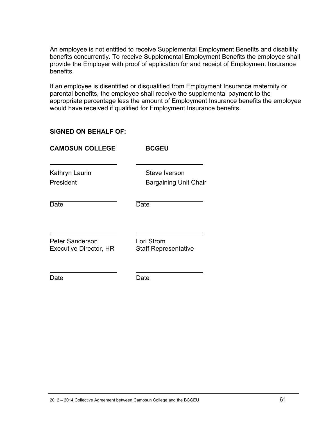An employee is not entitled to receive Supplemental Employment Benefits and disability benefits concurrently. To receive Supplemental Employment Benefits the employee shall provide the Employer with proof of application for and receipt of Employment Insurance benefits.

If an employee is disentitled or disqualified from Employment Insurance maternity or parental benefits, the employee shall receive the supplemental payment to the appropriate percentage less the amount of Employment Insurance benefits the employee would have received if qualified for Employment Insurance benefits.

#### **SIGNED ON BEHALF OF:**

Date **Date** Date

| <b>BCGEU</b>                              |
|-------------------------------------------|
| Steve Iverson<br>Bargaining Unit Chair    |
| Date                                      |
| Lori Strom<br><b>Staff Representative</b> |
|                                           |